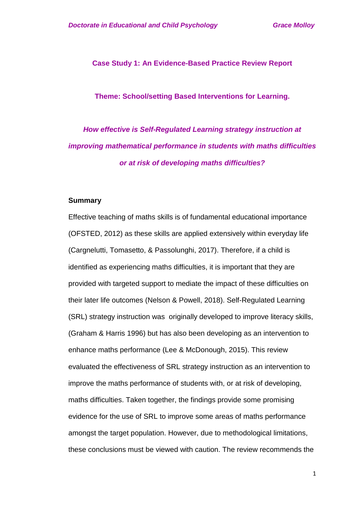**Case Study 1: An Evidence-Based Practice Review Report**

**Theme: School/setting Based Interventions for Learning.**

*How effective is Self-Regulated Learning strategy instruction at improving mathematical performance in students with maths difficulties or at risk of developing maths difficulties?* 

#### **Summary**

Effective teaching of maths skills is of fundamental educational importance (OFSTED, 2012) as these skills are applied extensively within everyday life (Cargnelutti, Tomasetto, & Passolunghi, 2017). Therefore, if a child is identified as experiencing maths difficulties, it is important that they are provided with targeted support to mediate the impact of these difficulties on their later life outcomes (Nelson & Powell, 2018). Self-Regulated Learning (SRL) strategy instruction was originally developed to improve literacy skills, (Graham & Harris 1996) but has also been developing as an intervention to enhance maths performance (Lee & McDonough, 2015). This review evaluated the effectiveness of SRL strategy instruction as an intervention to improve the maths performance of students with, or at risk of developing, maths difficulties. Taken together, the findings provide some promising evidence for the use of SRL to improve some areas of maths performance amongst the target population. However, due to methodological limitations, these conclusions must be viewed with caution. The review recommends the

1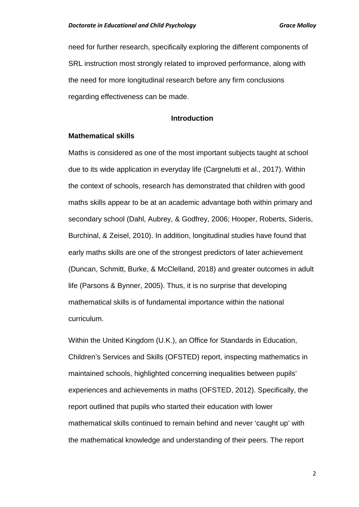need for further research, specifically exploring the different components of SRL instruction most strongly related to improved performance, along with the need for more longitudinal research before any firm conclusions regarding effectiveness can be made.

#### **Introduction**

#### **Mathematical skills**

Maths is considered as one of the most important subjects taught at school due to its wide application in everyday life (Cargnelutti et al., 2017). Within the context of schools, research has demonstrated that children with good maths skills appear to be at an academic advantage both within primary and secondary school (Dahl, Aubrey, & Godfrey, 2006; Hooper, Roberts, Sideris, Burchinal, & Zeisel, 2010). In addition, longitudinal studies have found that early maths skills are one of the strongest predictors of later achievement (Duncan, Schmitt, Burke, & McClelland, 2018) and greater outcomes in adult life (Parsons & Bynner, 2005). Thus, it is no surprise that developing mathematical skills is of fundamental importance within the national curriculum.

Within the United Kingdom (U.K.), an Office for Standards in Education, Children's Services and Skills (OFSTED) report, inspecting mathematics in maintained schools, highlighted concerning inequalities between pupils' experiences and achievements in maths (OFSTED, 2012). Specifically, the report outlined that pupils who started their education with lower mathematical skills continued to remain behind and never 'caught up' with the mathematical knowledge and understanding of their peers. The report

2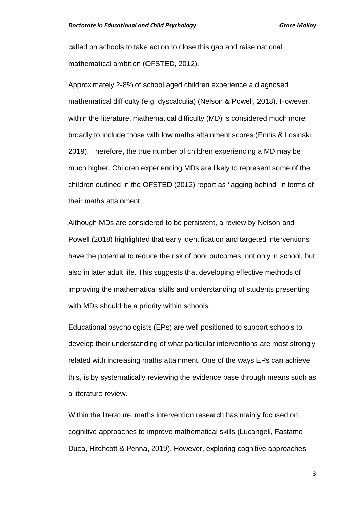called on schools to take action to close this gap and raise national mathematical ambition (OFSTED, 2012).

Approximately 2-8% of school aged children experience a diagnosed mathematical difficulty (e.g. dyscalculia) (Nelson & Powell, 2018). However, within the literature, mathematical difficulty (MD) is considered much more broadly to include those with low maths attainment scores (Ennis & Losinski, 2019). Therefore, the true number of children experiencing a MD may be much higher. Children experiencing MDs are likely to represent some of the children outlined in the OFSTED (2012) report as 'lagging behind' in terms of their maths attainment.

Although MDs are considered to be persistent, a review by Nelson and Powell (2018) highlighted that early identification and targeted interventions have the potential to reduce the risk of poor outcomes, not only in school, but also in later adult life. This suggests that developing effective methods of improving the mathematical skills and understanding of students presenting with MDs should be a priority within schools.

Educational psychologists (EPs) are well positioned to support schools to develop their understanding of what particular interventions are most strongly related with increasing maths attainment. One of the ways EPs can achieve this, is by systematically reviewing the evidence base through means such as a literature review.

Within the literature, maths intervention research has mainly focused on cognitive approaches to improve mathematical skills (Lucangeli, Fastame, Duca, Hitchcott & Penna, 2019). However, exploring cognitive approaches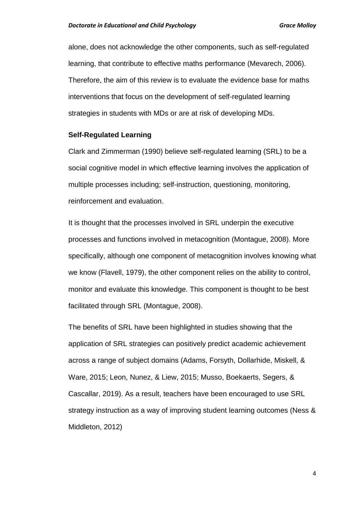alone, does not acknowledge the other components, such as self-regulated learning, that contribute to effective maths performance (Mevarech, 2006). Therefore, the aim of this review is to evaluate the evidence base for maths interventions that focus on the development of self-regulated learning strategies in students with MDs or are at risk of developing MDs.

#### **Self-Regulated Learning**

Clark and Zimmerman (1990) believe self-regulated learning (SRL) to be a social cognitive model in which effective learning involves the application of multiple processes including; self-instruction, questioning, monitoring, reinforcement and evaluation.

It is thought that the processes involved in SRL underpin the executive processes and functions involved in metacognition (Montague, 2008). More specifically, although one component of metacognition involves knowing what we know (Flavell, 1979), the other component relies on the ability to control, monitor and evaluate this knowledge. This component is thought to be best facilitated through SRL (Montague, 2008).

The benefits of SRL have been highlighted in studies showing that the application of SRL strategies can positively predict academic achievement across a range of subject domains (Adams, Forsyth, Dollarhide, Miskell, & Ware, 2015; Leon, Nunez, & Liew, 2015; Musso, Boekaerts, Segers, & Cascallar, 2019). As a result, teachers have been encouraged to use SRL strategy instruction as a way of improving student learning outcomes (Ness & Middleton, 2012)

4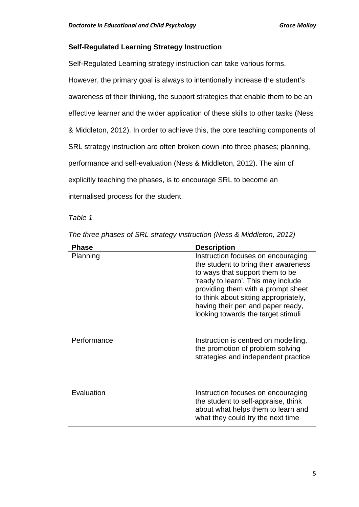#### **Self-Regulated Learning Strategy Instruction**

Self-Regulated Learning strategy instruction can take various forms. However, the primary goal is always to intentionally increase the student's awareness of their thinking, the support strategies that enable them to be an effective learner and the wider application of these skills to other tasks (Ness & Middleton, 2012). In order to achieve this, the core teaching components of SRL strategy instruction are often broken down into three phases; planning, performance and self-evaluation (Ness & Middleton, 2012). The aim of explicitly teaching the phases, is to encourage SRL to become an internalised process for the student.

#### *Table 1*

| The three phases of SRL strategy instruction (Ness & Middleton, 2012) |  |  |  |  |
|-----------------------------------------------------------------------|--|--|--|--|
|-----------------------------------------------------------------------|--|--|--|--|

| <b>Phase</b> | <b>Description</b>                                                                                                                                                                                                                                                                                            |
|--------------|---------------------------------------------------------------------------------------------------------------------------------------------------------------------------------------------------------------------------------------------------------------------------------------------------------------|
| Planning     | Instruction focuses on encouraging<br>the student to bring their awareness<br>to ways that support them to be<br>'ready to learn'. This may include<br>providing them with a prompt sheet<br>to think about sitting appropriately,<br>having their pen and paper ready,<br>looking towards the target stimuli |
| Performance  | Instruction is centred on modelling,<br>the promotion of problem solving<br>strategies and independent practice                                                                                                                                                                                               |
| Evaluation   | Instruction focuses on encouraging<br>the student to self-appraise, think<br>about what helps them to learn and<br>what they could try the next time                                                                                                                                                          |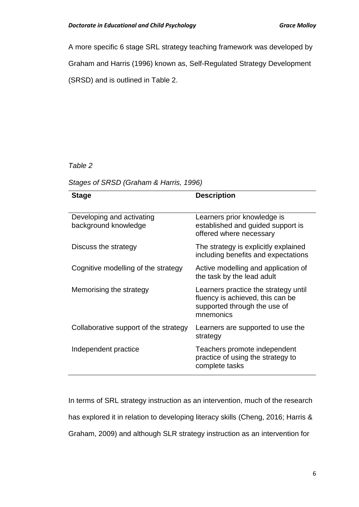A more specific 6 stage SRL strategy teaching framework was developed by

Graham and Harris (1996) known as, Self-Regulated Strategy Development

(SRSD) and is outlined in Table 2.

## *Table 2*

#### *Stages of SRSD (Graham & Harris, 1996)*

| <b>Stage</b>                                      | <b>Description</b>                                                                                                    |
|---------------------------------------------------|-----------------------------------------------------------------------------------------------------------------------|
| Developing and activating<br>background knowledge | Learners prior knowledge is<br>established and guided support is<br>offered where necessary                           |
| Discuss the strategy                              | The strategy is explicitly explained<br>including benefits and expectations                                           |
| Cognitive modelling of the strategy               | Active modelling and application of<br>the task by the lead adult                                                     |
| Memorising the strategy                           | Learners practice the strategy until<br>fluency is achieved, this can be<br>supported through the use of<br>mnemonics |
| Collaborative support of the strategy             | Learners are supported to use the<br>strategy                                                                         |
| Independent practice                              | Teachers promote independent<br>practice of using the strategy to<br>complete tasks                                   |

In terms of SRL strategy instruction as an intervention, much of the research has explored it in relation to developing literacy skills (Cheng, 2016; Harris & Graham, 2009) and although SLR strategy instruction as an intervention for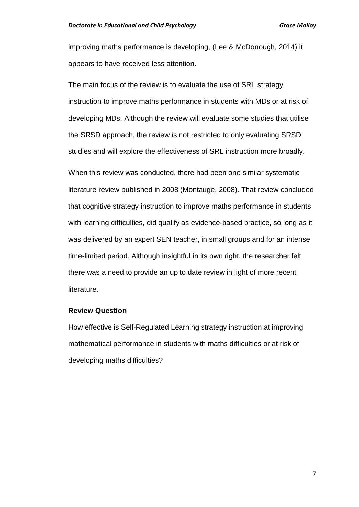improving maths performance is developing, (Lee & McDonough, 2014) it appears to have received less attention.

The main focus of the review is to evaluate the use of SRL strategy instruction to improve maths performance in students with MDs or at risk of developing MDs. Although the review will evaluate some studies that utilise the SRSD approach, the review is not restricted to only evaluating SRSD studies and will explore the effectiveness of SRL instruction more broadly. When this review was conducted, there had been one similar systematic literature review published in 2008 (Montauge, 2008). That review concluded that cognitive strategy instruction to improve maths performance in students with learning difficulties, did qualify as evidence-based practice, so long as it was delivered by an expert SEN teacher, in small groups and for an intense time-limited period. Although insightful in its own right, the researcher felt there was a need to provide an up to date review in light of more recent literature.

#### **Review Question**

How effective is Self-Regulated Learning strategy instruction at improving mathematical performance in students with maths difficulties or at risk of developing maths difficulties?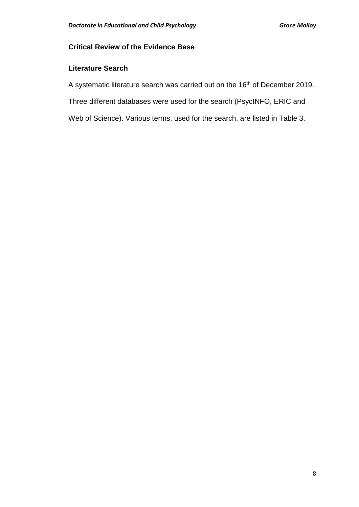# **Critical Review of the Evidence Base**

## **Literature Search**

A systematic literature search was carried out on the 16<sup>th</sup> of December 2019.

Three different databases were used for the search (PsycINFO, ERIC and

Web of Science). Various terms, used for the search, are listed in Table 3.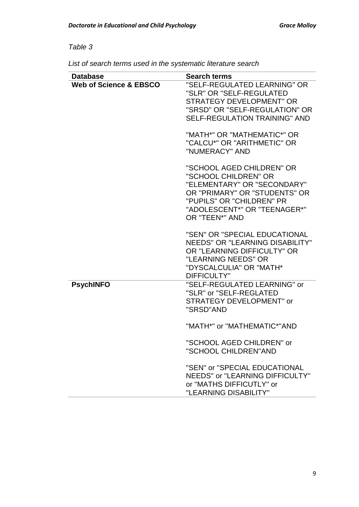# *Table 3*

| List of search terms used in the systematic literature search |
|---------------------------------------------------------------|
|---------------------------------------------------------------|

| <b>Database</b>                   | <b>Search terms</b>                                                                                                                                                                              |
|-----------------------------------|--------------------------------------------------------------------------------------------------------------------------------------------------------------------------------------------------|
| <b>Web of Science &amp; EBSCO</b> | "SELF-REGULATED LEARNING" OR<br>"SLR" OR "SELF-REGULATED<br><b>STRATEGY DEVELOPMENT" OR</b><br>"SRSD" OR "SELF-REGULATION" OR<br><b>SELF-REGULATION TRAINING" AND</b>                            |
|                                   | "MATH*" OR "MATHEMATIC*" OR<br>"CALCU*" OR "ARITHMETIC" OR<br>"NUMERACY" AND                                                                                                                     |
|                                   | "SCHOOL AGED CHILDREN" OR<br>"SCHOOL CHILDREN" OR<br>"ELEMENTARY" OR "SECONDARY"<br>OR "PRIMARY" OR "STUDENTS" OR<br>"PUPILS" OR "CHILDREN" PR<br>"ADOLESCENT*" OR "TEENAGER*"<br>OR "TEEN*" AND |
|                                   | "SEN" OR "SPECIAL EDUCATIONAL<br><b>NEEDS" OR "LEARNING DISABILITY"</b><br>OR "LEARNING DIFFICULTY" OR<br>"LEARNING NEEDS" OR<br>"DYSCALCULIA" OR "MATH*<br><b>DIFFICULTY"</b>                   |
| <b>PsychINFO</b>                  | "SELF-REGULATED LEARNING" or<br>"SLR" or "SELF-REGLATED<br><b>STRATEGY DEVELOPMENT" or</b><br>"SRSD"AND                                                                                          |
|                                   | "MATH*" or "MATHEMATIC*"AND                                                                                                                                                                      |
|                                   | "SCHOOL AGED CHILDREN" or<br>"SCHOOL CHILDREN"AND                                                                                                                                                |
|                                   | "SEN" or "SPECIAL EDUCATIONAL<br>NEEDS" or "LEARNING DIFFICULTY"<br>or "MATHS DIFFICUTLY" or<br>"LEARNING DISABILITY"                                                                            |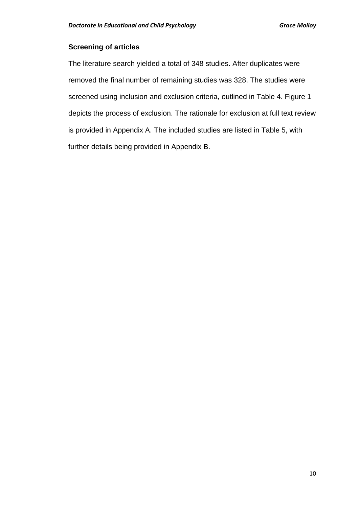### **Screening of articles**

The literature search yielded a total of 348 studies. After duplicates were removed the final number of remaining studies was 328. The studies were screened using inclusion and exclusion criteria, outlined in Table 4. Figure 1 depicts the process of exclusion. The rationale for exclusion at full text review is provided in Appendix A. The included studies are listed in Table 5, with further details being provided in Appendix B.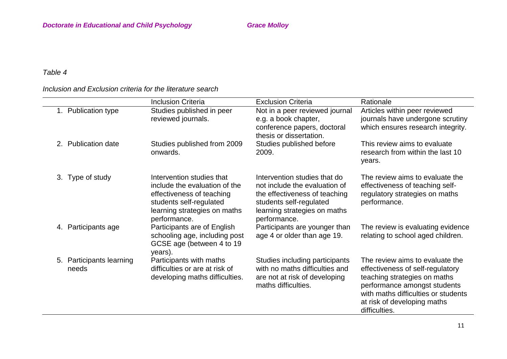# *Table 4*

## *Inclusion and Exclusion criteria for the literature search*

|                                   | <b>Inclusion Criteria</b>                                                                                                                                          | <b>Exclusion Criteria</b>                                                                                                                                                 | Rationale                                                                                                                                                                                                                  |
|-----------------------------------|--------------------------------------------------------------------------------------------------------------------------------------------------------------------|---------------------------------------------------------------------------------------------------------------------------------------------------------------------------|----------------------------------------------------------------------------------------------------------------------------------------------------------------------------------------------------------------------------|
| 1. Publication type               | Studies published in peer<br>reviewed journals.                                                                                                                    | Not in a peer reviewed journal<br>e.g. a book chapter,<br>conference papers, doctoral<br>thesis or dissertation.                                                          | Articles within peer reviewed<br>journals have undergone scrutiny<br>which ensures research integrity.                                                                                                                     |
| 2. Publication date               | Studies published from 2009<br>onwards.                                                                                                                            | Studies published before<br>2009.                                                                                                                                         | This review aims to evaluate<br>research from within the last 10<br>years.                                                                                                                                                 |
| 3. Type of study                  | Intervention studies that<br>include the evaluation of the<br>effectiveness of teaching<br>students self-regulated<br>learning strategies on maths<br>performance. | Intervention studies that do<br>not include the evaluation of<br>the effectiveness of teaching<br>students self-regulated<br>learning strategies on maths<br>performance. | The review aims to evaluate the<br>effectiveness of teaching self-<br>regulatory strategies on maths<br>performance.                                                                                                       |
| 4. Participants age               | Participants are of English<br>schooling age, including post<br>GCSE age (between 4 to 19<br>years).                                                               | Participants are younger than<br>age 4 or older than age 19.                                                                                                              | The review is evaluating evidence<br>relating to school aged children.                                                                                                                                                     |
| 5. Participants learning<br>needs | Participants with maths<br>difficulties or are at risk of<br>developing maths difficulties.                                                                        | Studies including participants<br>with no maths difficulties and<br>are not at risk of developing<br>maths difficulties.                                                  | The review aims to evaluate the<br>effectiveness of self-regulatory<br>teaching strategies on maths<br>performance amongst students<br>with maths difficulties or students<br>at risk of developing maths<br>difficulties. |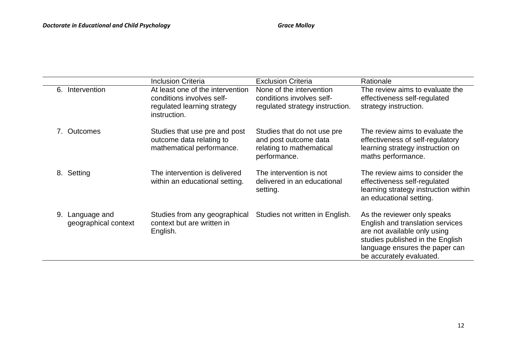|             |                                      | <b>Inclusion Criteria</b>                                                                                    | <b>Exclusion Criteria</b>                                                                        | Rationale                                                                                                                                                                                         |
|-------------|--------------------------------------|--------------------------------------------------------------------------------------------------------------|--------------------------------------------------------------------------------------------------|---------------------------------------------------------------------------------------------------------------------------------------------------------------------------------------------------|
| 6.          | Intervention                         | At least one of the intervention<br>conditions involves self-<br>regulated learning strategy<br>instruction. | None of the intervention<br>conditions involves self-<br>regulated strategy instruction.         | The review aims to evaluate the<br>effectiveness self-regulated<br>strategy instruction.                                                                                                          |
| $7_{\circ}$ | <b>Outcomes</b>                      | Studies that use pre and post<br>outcome data relating to<br>mathematical performance.                       | Studies that do not use pre<br>and post outcome data<br>relating to mathematical<br>performance. | The review aims to evaluate the<br>effectiveness of self-regulatory<br>learning strategy instruction on<br>maths performance.                                                                     |
|             | 8. Setting                           | The intervention is delivered<br>within an educational setting.                                              | The intervention is not<br>delivered in an educational<br>setting.                               | The review aims to consider the<br>effectiveness self-regulated<br>learning strategy instruction within<br>an educational setting.                                                                |
| 9.          | Language and<br>geographical context | Studies from any geographical<br>context but are written in<br>English.                                      | Studies not written in English.                                                                  | As the reviewer only speaks<br>English and translation services<br>are not available only using<br>studies published in the English<br>language ensures the paper can<br>be accurately evaluated. |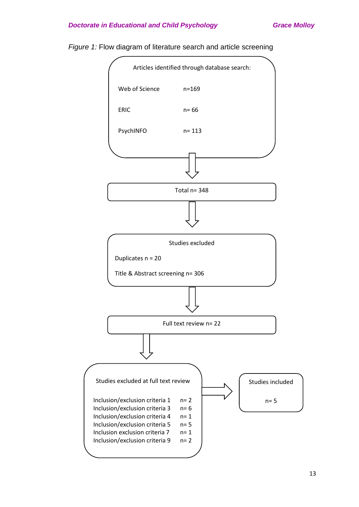#### **Doctorate in Educational and Child Psychology Grace Molloy Grace Molloy**



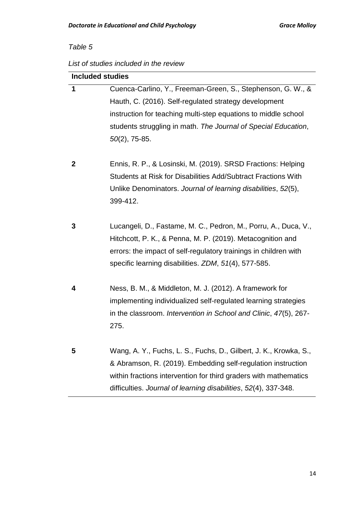# *Table 5*

## *List of studies included in the review*

| <b>Included studies</b> |                                                                   |  |  |  |
|-------------------------|-------------------------------------------------------------------|--|--|--|
| 1                       | Cuenca-Carlino, Y., Freeman-Green, S., Stephenson, G. W., &       |  |  |  |
|                         | Hauth, C. (2016). Self-regulated strategy development             |  |  |  |
|                         | instruction for teaching multi-step equations to middle school    |  |  |  |
|                         | students struggling in math. The Journal of Special Education,    |  |  |  |
|                         | $50(2)$ , 75-85.                                                  |  |  |  |
|                         |                                                                   |  |  |  |
| 2                       | Ennis, R. P., & Losinski, M. (2019). SRSD Fractions: Helping      |  |  |  |
|                         | Students at Risk for Disabilities Add/Subtract Fractions With     |  |  |  |
|                         | Unlike Denominators. Journal of learning disabilities, 52(5),     |  |  |  |
|                         | 399-412.                                                          |  |  |  |
|                         |                                                                   |  |  |  |
| 3                       | Lucangeli, D., Fastame, M. C., Pedron, M., Porru, A., Duca, V.,   |  |  |  |
|                         | Hitchcott, P. K., & Penna, M. P. (2019). Metacognition and        |  |  |  |
|                         | errors: the impact of self-regulatory trainings in children with  |  |  |  |
|                         | specific learning disabilities. ZDM, 51(4), 577-585.              |  |  |  |
| 4                       | Ness, B. M., & Middleton, M. J. (2012). A framework for           |  |  |  |
|                         | implementing individualized self-regulated learning strategies    |  |  |  |
|                         | in the classroom. Intervention in School and Clinic, 47(5), 267-  |  |  |  |
|                         | 275.                                                              |  |  |  |
|                         |                                                                   |  |  |  |
| 5                       | Wang, A. Y., Fuchs, L. S., Fuchs, D., Gilbert, J. K., Krowka, S., |  |  |  |
|                         | & Abramson, R. (2019). Embedding self-regulation instruction      |  |  |  |
|                         | within fractions intervention for third graders with mathematics  |  |  |  |
|                         | difficulties. Journal of learning disabilities, 52(4), 337-348.   |  |  |  |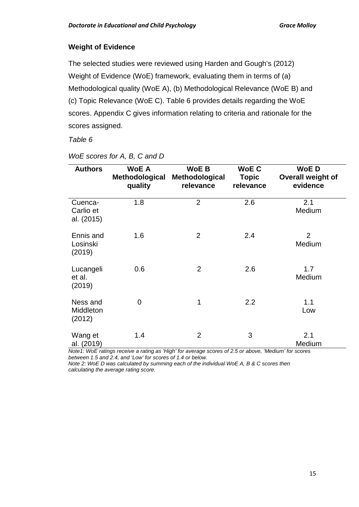## **Weight of Evidence**

The selected studies were reviewed using Harden and Gough's (2012) Weight of Evidence (WoE) framework, evaluating them in terms of (a) Methodological quality (WoE A), (b) Methodological Relevance (WoE B) and (c) Topic Relevance (WoE C). Table 6 provides details regarding the WoE scores. Appendix C gives information relating to criteria and rationale for the scores assigned.

#### *Table 6*

| <b>Authors</b>                     | <b>WoE A</b><br>Methodological<br>quality | <b>WoE B</b><br>Methodological<br>relevance | <b>WoEC</b><br><b>Topic</b><br>relevance | <b>WoED</b><br>Overall weight of<br>evidence |
|------------------------------------|-------------------------------------------|---------------------------------------------|------------------------------------------|----------------------------------------------|
| Cuenca-<br>Carlio et<br>al. (2015) | 1.8                                       | $\overline{2}$                              | 2.6                                      | 2.1<br>Medium                                |
| Ennis and<br>Losinski<br>(2019)    | 1.6                                       | $\overline{2}$                              | 2.4                                      | $\overline{2}$<br>Medium                     |
| Lucangeli<br>et al.<br>(2019)      | 0.6                                       | $\overline{2}$                              | 2.6                                      | 1.7<br>Medium                                |
| Ness and<br>Middleton<br>(2012)    | $\overline{0}$                            | 1                                           | 2.2                                      | 1.1<br>Low                                   |
| Wang et<br>al. (2019)              | 1.4                                       | $\overline{2}$                              | 3                                        | 2.1<br>Medium                                |

*WoE scores for A, B, C and D*

*Note1: WoE ratings receive a rating as 'High' for average scores of 2.5 or above, 'Medium' for scores between 1.5 and 2.4, and 'Low' for scores of 1.4 or below.* 

*Note 2: WoE D was calculated by summing each of the individual WoE A, B & C scores then calculating the average rating score.*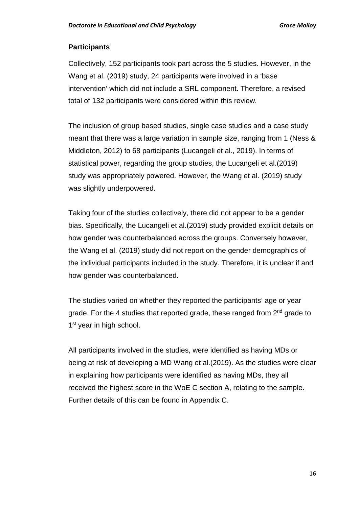## **Participants**

Collectively, 152 participants took part across the 5 studies. However, in the Wang et al. (2019) study, 24 participants were involved in a 'base intervention' which did not include a SRL component. Therefore, a revised total of 132 participants were considered within this review.

The inclusion of group based studies, single case studies and a case study meant that there was a large variation in sample size, ranging from 1 (Ness & Middleton, 2012) to 68 participants (Lucangeli et al., 2019). In terms of statistical power, regarding the group studies, the Lucangeli et al.(2019) study was appropriately powered. However, the Wang et al. (2019) study was slightly underpowered.

Taking four of the studies collectively, there did not appear to be a gender bias. Specifically, the Lucangeli et al.(2019) study provided explicit details on how gender was counterbalanced across the groups. Conversely however, the Wang et al. (2019) study did not report on the gender demographics of the individual participants included in the study. Therefore, it is unclear if and how gender was counterbalanced.

The studies varied on whether they reported the participants' age or year grade. For the 4 studies that reported grade, these ranged from  $2<sup>nd</sup>$  grade to 1<sup>st</sup> year in high school.

All participants involved in the studies, were identified as having MDs or being at risk of developing a MD Wang et al.(2019). As the studies were clear in explaining how participants were identified as having MDs, they all received the highest score in the WoE C section A, relating to the sample. Further details of this can be found in Appendix C.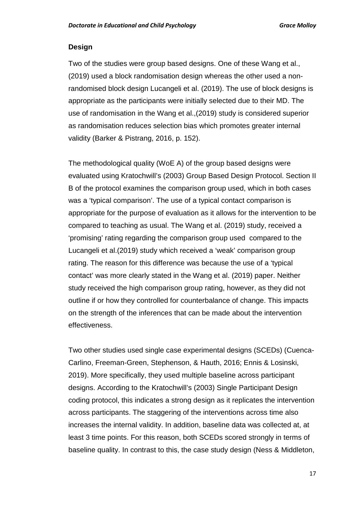#### **Design**

Two of the studies were group based designs. One of these Wang et al., (2019) used a block randomisation design whereas the other used a nonrandomised block design Lucangeli et al. (2019). The use of block designs is appropriate as the participants were initially selected due to their MD. The use of randomisation in the Wang et al.,(2019) study is considered superior as randomisation reduces selection bias which promotes greater internal validity (Barker & Pistrang, 2016, p. 152).

The methodological quality (WoE A) of the group based designs were evaluated using Kratochwill's (2003) Group Based Design Protocol. Section II B of the protocol examines the comparison group used, which in both cases was a 'typical comparison'. The use of a typical contact comparison is appropriate for the purpose of evaluation as it allows for the intervention to be compared to teaching as usual. The Wang et al. (2019) study, received a 'promising' rating regarding the comparison group used compared to the Lucangeli et al.(2019) study which received a 'weak' comparison group rating. The reason for this difference was because the use of a 'typical contact' was more clearly stated in the Wang et al. (2019) paper. Neither study received the high comparison group rating, however, as they did not outline if or how they controlled for counterbalance of change. This impacts on the strength of the inferences that can be made about the intervention effectiveness.

Two other studies used single case experimental designs (SCEDs) (Cuenca-Carlino, Freeman-Green, Stephenson, & Hauth, 2016; Ennis & Losinski, 2019). More specifically, they used multiple baseline across participant designs. According to the Kratochwill's (2003) Single Participant Design coding protocol, this indicates a strong design as it replicates the intervention across participants. The staggering of the interventions across time also increases the internal validity. In addition, baseline data was collected at, at least 3 time points. For this reason, both SCEDs scored strongly in terms of baseline quality. In contrast to this, the case study design (Ness & Middleton,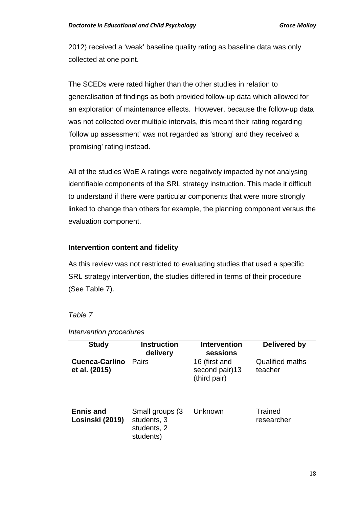2012) received a 'weak' baseline quality rating as baseline data was only collected at one point.

The SCEDs were rated higher than the other studies in relation to generalisation of findings as both provided follow-up data which allowed for an exploration of maintenance effects. However, because the follow-up data was not collected over multiple intervals, this meant their rating regarding 'follow up assessment' was not regarded as 'strong' and they received a 'promising' rating instead.

All of the studies WoE A ratings were negatively impacted by not analysing identifiable components of the SRL strategy instruction. This made it difficult to understand if there were particular components that were more strongly linked to change than others for example, the planning component versus the evaluation component.

#### **Intervention content and fidelity**

As this review was not restricted to evaluating studies that used a specific SRL strategy intervention, the studies differed in terms of their procedure (See Table 7).

#### *Table 7*

| <b>Study</b>                           | <b>Instruction</b><br>delivery                              | <b>Intervention</b><br>sessions                 | Delivered by                      |
|----------------------------------------|-------------------------------------------------------------|-------------------------------------------------|-----------------------------------|
| <b>Cuenca-Carlino</b><br>et al. (2015) | Pairs                                                       | 16 (first and<br>second pair)13<br>(third pair) | <b>Qualified maths</b><br>teacher |
| <b>Ennis and</b><br>Losinski (2019)    | Small groups (3)<br>students, 3<br>students, 2<br>students) | Unknown                                         | Trained<br>researcher             |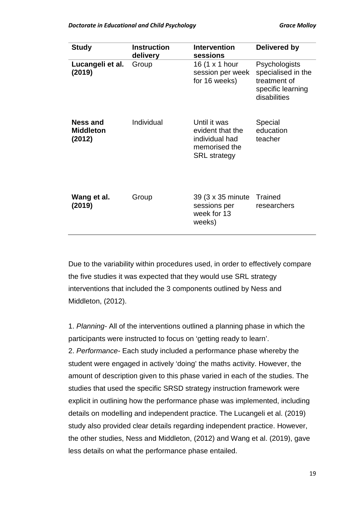| <b>Study</b>                           | <b>Instruction</b><br>delivery | <b>Intervention</b><br>sessions                                                            | Delivered by                                                                                    |
|----------------------------------------|--------------------------------|--------------------------------------------------------------------------------------------|-------------------------------------------------------------------------------------------------|
| Lucangeli et al.<br>(2019)             | Group                          | 16 (1 x 1 hour<br>session per week<br>for 16 weeks)                                        | <b>Psychologists</b><br>specialised in the<br>treatment of<br>specific learning<br>disabilities |
| Ness and<br><b>Middleton</b><br>(2012) | Individual                     | Until it was<br>evident that the<br>individual had<br>memorised the<br><b>SRL</b> strategy | Special<br>education<br>teacher                                                                 |
| Wang et al.<br>(2019)                  | Group                          | 39 (3 x 35 minute<br>sessions per<br>week for 13<br>weeks)                                 | Trained<br>researchers                                                                          |

Due to the variability within procedures used, in order to effectively compare the five studies it was expected that they would use SRL strategy interventions that included the 3 components outlined by Ness and Middleton, (2012).

1. *Planning-* All of the interventions outlined a planning phase in which the participants were instructed to focus on 'getting ready to learn'. 2. *Performance-* Each study included a performance phase whereby the student were engaged in actively 'doing' the maths activity. However, the amount of description given to this phase varied in each of the studies. The studies that used the specific SRSD strategy instruction framework were explicit in outlining how the performance phase was implemented, including details on modelling and independent practice. The Lucangeli et al. (2019) study also provided clear details regarding independent practice. However, the other studies, Ness and Middleton, (2012) and Wang et al. (2019), gave less details on what the performance phase entailed.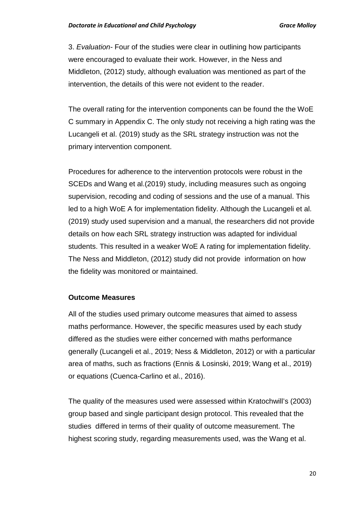3. *Evaluation-* Four of the studies were clear in outlining how participants were encouraged to evaluate their work. However, in the Ness and Middleton, (2012) study, although evaluation was mentioned as part of the intervention, the details of this were not evident to the reader.

The overall rating for the intervention components can be found the the WoE C summary in Appendix C. The only study not receiving a high rating was the Lucangeli et al. (2019) study as the SRL strategy instruction was not the primary intervention component.

Procedures for adherence to the intervention protocols were robust in the SCEDs and Wang et al.(2019) study, including measures such as ongoing supervision, recoding and coding of sessions and the use of a manual. This led to a high WoE A for implementation fidelity. Although the Lucangeli et al. (2019) study used supervision and a manual, the researchers did not provide details on how each SRL strategy instruction was adapted for individual students. This resulted in a weaker WoE A rating for implementation fidelity. The Ness and Middleton, (2012) study did not provide information on how the fidelity was monitored or maintained.

#### **Outcome Measures**

All of the studies used primary outcome measures that aimed to assess maths performance. However, the specific measures used by each study differed as the studies were either concerned with maths performance generally (Lucangeli et al., 2019; Ness & Middleton, 2012) or with a particular area of maths, such as fractions (Ennis & Losinski, 2019; Wang et al., 2019) or equations (Cuenca-Carlino et al., 2016).

The quality of the measures used were assessed within Kratochwill's (2003) group based and single participant design protocol. This revealed that the studies differed in terms of their quality of outcome measurement. The highest scoring study, regarding measurements used, was the Wang et al.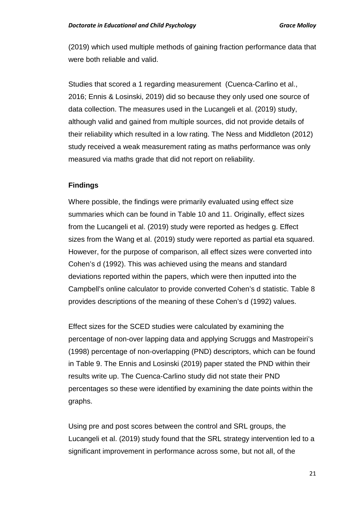(2019) which used multiple methods of gaining fraction performance data that were both reliable and valid.

Studies that scored a 1 regarding measurement (Cuenca-Carlino et al., 2016; Ennis & Losinski, 2019) did so because they only used one source of data collection. The measures used in the Lucangeli et al. (2019) study, although valid and gained from multiple sources, did not provide details of their reliability which resulted in a low rating. The Ness and Middleton (2012) study received a weak measurement rating as maths performance was only measured via maths grade that did not report on reliability.

## **Findings**

Where possible, the findings were primarily evaluated using effect size summaries which can be found in Table 10 and 11. Originally, effect sizes from the Lucangeli et al. (2019) study were reported as hedges g. Effect sizes from the Wang et al. (2019) study were reported as partial eta squared. However, for the purpose of comparison, all effect sizes were converted into Cohen's d (1992). This was achieved using the means and standard deviations reported within the papers, which were then inputted into the Campbell's online calculator to provide converted Cohen's d statistic. Table 8 provides descriptions of the meaning of these Cohen's d (1992) values.

Effect sizes for the SCED studies were calculated by examining the percentage of non-over lapping data and applying Scruggs and Mastropeiri's (1998) percentage of non-overlapping (PND) descriptors, which can be found in Table 9. The Ennis and Losinski (2019) paper stated the PND within their results write up. The Cuenca-Carlino study did not state their PND percentages so these were identified by examining the date points within the graphs.

Using pre and post scores between the control and SRL groups, the Lucangeli et al. (2019) study found that the SRL strategy intervention led to a significant improvement in performance across some, but not all, of the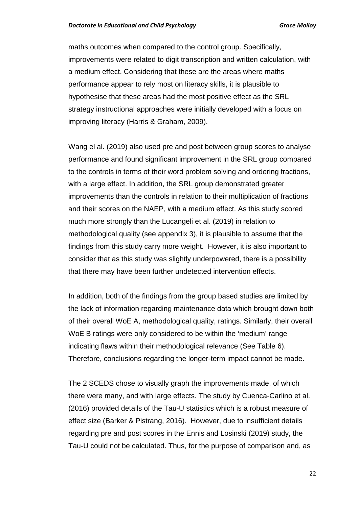maths outcomes when compared to the control group. Specifically, improvements were related to digit transcription and written calculation, with a medium effect. Considering that these are the areas where maths performance appear to rely most on literacy skills, it is plausible to hypothesise that these areas had the most positive effect as the SRL strategy instructional approaches were initially developed with a focus on improving literacy (Harris & Graham, 2009).

Wang el al. (2019) also used pre and post between group scores to analyse performance and found significant improvement in the SRL group compared to the controls in terms of their word problem solving and ordering fractions, with a large effect. In addition, the SRL group demonstrated greater improvements than the controls in relation to their multiplication of fractions and their scores on the NAEP, with a medium effect. As this study scored much more strongly than the Lucangeli et al. (2019) in relation to methodological quality (see appendix 3), it is plausible to assume that the findings from this study carry more weight. However, it is also important to consider that as this study was slightly underpowered, there is a possibility that there may have been further undetected intervention effects.

In addition, both of the findings from the group based studies are limited by the lack of information regarding maintenance data which brought down both of their overall WoE A, methodological quality, ratings. Similarly, their overall WoE B ratings were only considered to be within the 'medium' range indicating flaws within their methodological relevance (See Table 6). Therefore, conclusions regarding the longer-term impact cannot be made.

The 2 SCEDS chose to visually graph the improvements made, of which there were many, and with large effects. The study by Cuenca-Carlino et al. (2016) provided details of the Tau-U statistics which is a robust measure of effect size (Barker & Pistrang, 2016). However, due to insufficient details regarding pre and post scores in the Ennis and Losinski (2019) study, the Tau-U could not be calculated. Thus, for the purpose of comparison and, as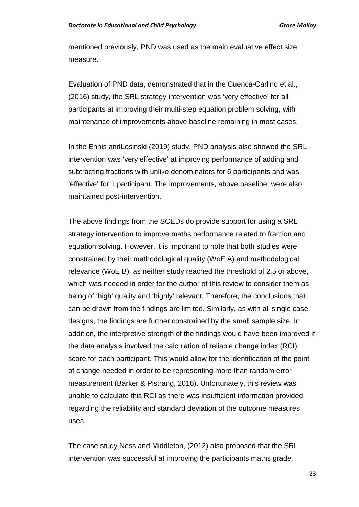mentioned previously, PND was used as the main evaluative effect size measure.

Evaluation of PND data, demonstrated that in the Cuenca-Carlino et al., (2016) study, the SRL strategy intervention was 'very effective' for all participants at improving their multi-step equation problem solving, with maintenance of improvements above baseline remaining in most cases.

In the Ennis andLosinski (2019) study, PND analysis also showed the SRL intervention was 'very effective' at improving performance of adding and subtracting fractions with unlike denominators for 6 participants and was 'effective' for 1 participant. The improvements, above baseline, were also maintained post-intervention.

The above findings from the SCEDs do provide support for using a SRL strategy intervention to improve maths performance related to fraction and equation solving. However, it is important to note that both studies were constrained by their methodological quality (WoE A) and methodological relevance (WoE B) as neither study reached the threshold of 2.5 or above, which was needed in order for the author of this review to consider them as being of 'high' quality and 'highly' relevant. Therefore, the conclusions that can be drawn from the findings are limited. Similarly, as with all single case designs, the findings are further constrained by the small sample size. In addition, the interpretive strength of the findings would have been improved if the data analysis involved the calculation of reliable change index (RCI) score for each participant. This would allow for the identification of the point of change needed in order to be representing more than random error measurement (Barker & Pistrang, 2016). Unfortunately, this review was unable to calculate this RCI as there was insufficient information provided regarding the reliability and standard deviation of the outcome measures uses.

The case study Ness and Middleton, (2012) also proposed that the SRL intervention was successful at improving the participants maths grade.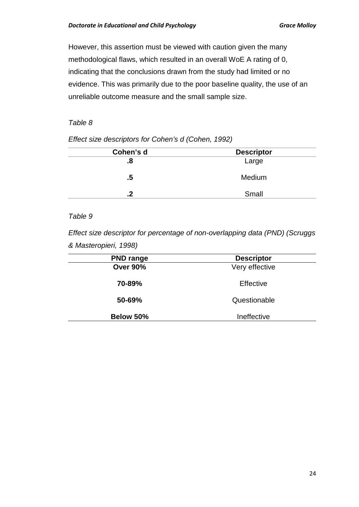However, this assertion must be viewed with caution given the many methodological flaws, which resulted in an overall WoE A rating of 0, indicating that the conclusions drawn from the study had limited or no evidence. This was primarily due to the poor baseline quality, the use of an unreliable outcome measure and the small sample size.

#### *Table 8*

| Cohen's d | <b>Descriptor</b> |
|-----------|-------------------|
| .8        | Large             |
| .5        | Medium            |
| ີ         | Small             |

*Effect size descriptors for Cohen's d (Cohen, 1992)* 

## *Table 9*

*Effect size descriptor for percentage of non-overlapping data (PND) (Scruggs & Masteropieri, 1998)*

| <b>PND range</b> | <b>Descriptor</b> |  |  |
|------------------|-------------------|--|--|
| <b>Over 90%</b>  | Very effective    |  |  |
| 70-89%           | Effective         |  |  |
| 50-69%           | Questionable      |  |  |
| Below 50%        | Ineffective       |  |  |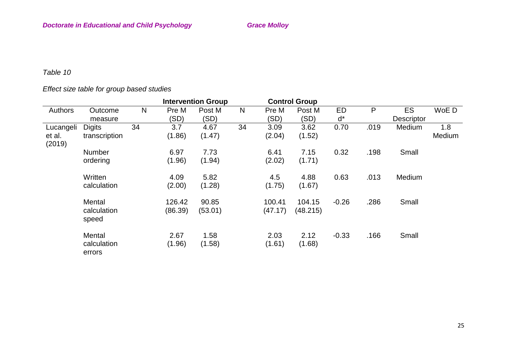# *Table 10*

# *Effect size table for group based studies*

|                  |                       |    |         | <b>Intervention Group</b> |              |         | <b>Control Group</b> |         |      |                   |        |
|------------------|-----------------------|----|---------|---------------------------|--------------|---------|----------------------|---------|------|-------------------|--------|
| <b>Authors</b>   | Outcome               | N  | Pre M   | Post M                    | $\mathsf{N}$ | Pre M   | Post M               | ED      | P    | ES                | WoE D  |
|                  | measure               |    | (SD)    | (SD)                      |              | (SD)    | (SD)                 | ď*      |      | <b>Descriptor</b> |        |
| Lucangeli        | <b>Digits</b>         | 34 | 3.7     | 4.67                      | 34           | 3.09    | 3.62                 | 0.70    | .019 | Medium            | 1.8    |
| et al.<br>(2019) | transcription         |    | (1.86)  | (1.47)                    |              | (2.04)  | (1.52)               |         |      |                   | Medium |
|                  | <b>Number</b>         |    | 6.97    | 7.73                      |              | 6.41    | 7.15                 | 0.32    | .198 | Small             |        |
|                  | ordering              |    | (1.96)  | (1.94)                    |              | (2.02)  | (1.71)               |         |      |                   |        |
|                  | Written               |    | 4.09    | 5.82                      |              | 4.5     | 4.88                 | 0.63    | .013 | Medium            |        |
|                  | calculation           |    | (2.00)  | (1.28)                    |              | (1.75)  | (1.67)               |         |      |                   |        |
|                  | Mental                |    | 126.42  | 90.85                     |              | 100.41  | 104.15               | $-0.26$ | .286 | Small             |        |
|                  | calculation<br>speed  |    | (86.39) | (53.01)                   |              | (47.17) | (48.215)             |         |      |                   |        |
|                  | Mental                |    | 2.67    | 1.58                      |              | 2.03    | 2.12                 | $-0.33$ | .166 | Small             |        |
|                  | calculation<br>errors |    | (1.96)  | (1.58)                    |              | (1.61)  | (1.68)               |         |      |                   |        |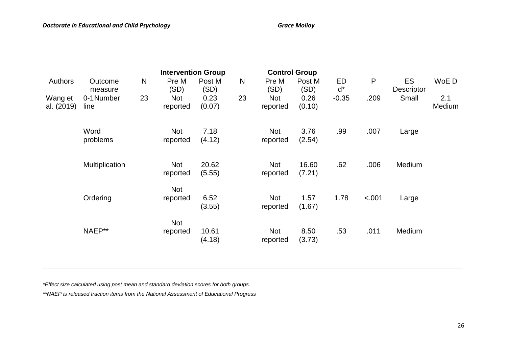|            |                |              | <b>Intervention Group</b> |        |              |            | <b>Control Group</b> |         |         |                   | WoE D<br>2.1<br>Medium |  |  |
|------------|----------------|--------------|---------------------------|--------|--------------|------------|----------------------|---------|---------|-------------------|------------------------|--|--|
| Authors    | Outcome        | $\mathsf{N}$ | Pre M                     | Post M | $\mathsf{N}$ | Pre M      | Post M               | ED      | P       | <b>ES</b>         |                        |  |  |
|            | measure        |              | (SD)                      | (SD)   |              | (SD)       | (SD)                 | $d^*$   |         | <b>Descriptor</b> |                        |  |  |
| Wang et    | 0-1 Number     | 23           | <b>Not</b>                | 0.23   | 23           | Not        | 0.26                 | $-0.35$ | .209    | Small             |                        |  |  |
| al. (2019) | line           |              | reported                  | (0.07) |              | reported   | (0.10)               |         |         |                   |                        |  |  |
|            |                |              |                           |        |              |            |                      |         |         |                   |                        |  |  |
|            | Word           |              | <b>Not</b>                | 7.18   |              | Not        | 3.76                 | .99     | .007    | Large             |                        |  |  |
|            | problems       |              | reported                  | (4.12) |              | reported   | (2.54)               |         |         |                   |                        |  |  |
|            |                |              |                           |        |              |            |                      |         |         |                   |                        |  |  |
|            | Multiplication |              | <b>Not</b>                | 20.62  |              | <b>Not</b> | 16.60                | .62     | .006    | Medium            |                        |  |  |
|            |                |              | reported                  | (5.55) |              | reported   | (7.21)               |         |         |                   |                        |  |  |
|            |                |              | Not                       |        |              |            |                      |         |         |                   |                        |  |  |
|            | Ordering       |              | reported                  | 6.52   |              | <b>Not</b> | 1.57                 | 1.78    | $-.001$ | Large             |                        |  |  |
|            |                |              |                           | (3.55) |              | reported   | (1.67)               |         |         |                   |                        |  |  |
|            |                |              |                           |        |              |            |                      |         |         |                   |                        |  |  |
|            |                |              | <b>Not</b>                |        |              |            |                      |         |         |                   |                        |  |  |
|            | NAEP**         |              | reported                  | 10.61  |              | <b>Not</b> | 8.50                 | .53     | .011    | Medium            |                        |  |  |
|            |                |              |                           | (4.18) |              | reported   | (3.73)               |         |         |                   |                        |  |  |
|            |                |              |                           |        |              |            |                      |         |         |                   |                        |  |  |

*\*Effect size calculated using post mean and standard deviation scores for both groups.*

*\*\*NAEP is released fraction items from the National Assessment of Educational Progress*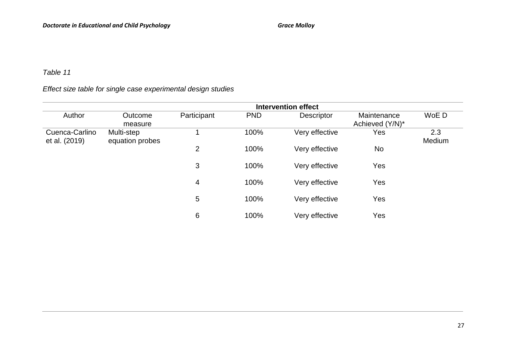## *Table 11*

# *Effect size table for single case experimental design studies*

|                                 | <b>Intervention effect</b>    |             |            |                   |                                |               |  |  |
|---------------------------------|-------------------------------|-------------|------------|-------------------|--------------------------------|---------------|--|--|
| Author                          | Outcome<br>measure            | Participant | <b>PND</b> | <b>Descriptor</b> | Maintenance<br>Achieved (Y/N)* | WoE D         |  |  |
| Cuenca-Carlino<br>et al. (2019) | Multi-step<br>equation probes |             | 100%       | Very effective    | Yes                            | 2.3<br>Medium |  |  |
|                                 |                               | 2           | 100%       | Very effective    | No                             |               |  |  |
|                                 |                               | 3           | 100%       | Very effective    | Yes                            |               |  |  |
|                                 |                               | 4           | 100%       | Very effective    | Yes                            |               |  |  |
|                                 |                               | 5           | 100%       | Very effective    | Yes                            |               |  |  |
|                                 |                               | 6           | 100%       | Very effective    | Yes                            |               |  |  |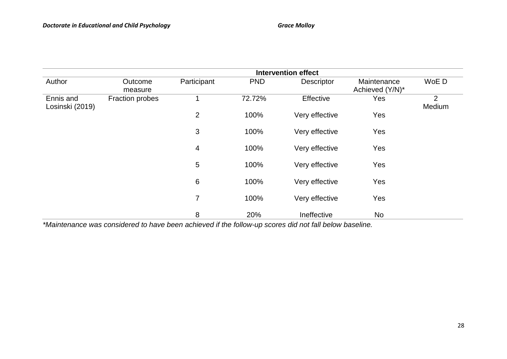| Author                       | Outcome<br>measure     | Participant    | <b>PND</b> | Descriptor       | Maintenance<br>Achieved (Y/N)* | WoE D       |
|------------------------------|------------------------|----------------|------------|------------------|--------------------------------|-------------|
| Ennis and<br>Losinski (2019) | <b>Fraction probes</b> |                | 72.72%     | <b>Effective</b> | Yes                            | 2<br>Medium |
|                              |                        | $\overline{2}$ | 100%       | Very effective   | Yes                            |             |
|                              |                        | $\mathfrak{B}$ | 100%       | Very effective   | Yes                            |             |
|                              |                        | $\overline{4}$ | 100%       | Very effective   | Yes                            |             |
|                              |                        | 5              | 100%       | Very effective   | Yes                            |             |
|                              |                        | 6              | 100%       | Very effective   | Yes                            |             |
|                              |                        | 7              | 100%       | Very effective   | Yes                            |             |
|                              |                        | 8              | 20%        | Ineffective      | <b>No</b>                      |             |

*\*Maintenance was considered to have been achieved if the follow-up scores did not fall below baseline.*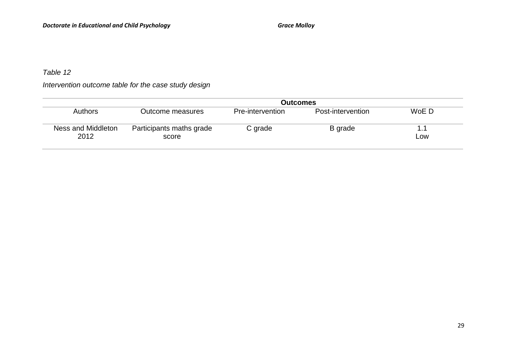# *Table 12*

*Intervention outcome table for the case study design* 

|                            | Outcomes                          |                  |                   |            |  |  |  |
|----------------------------|-----------------------------------|------------------|-------------------|------------|--|--|--|
| Authors                    | Outcome measures                  | Pre-intervention | Post-intervention | WoE D      |  |  |  |
| Ness and Middleton<br>2012 | Participants maths grade<br>score | C grade          | B grade           | 1.1<br>LOW |  |  |  |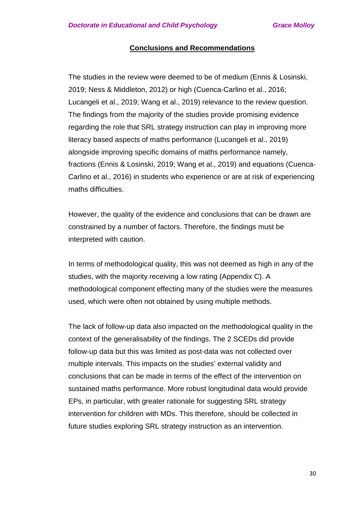#### **Conclusions and Recommendations**

The studies in the review were deemed to be of medium (Ennis & Losinski, 2019; Ness & Middleton, 2012) or high (Cuenca-Carlino et al., 2016; Lucangeli et al., 2019; Wang et al., 2019) relevance to the review question. The findings from the majority of the studies provide promising evidence regarding the role that SRL strategy instruction can play in improving more literacy based aspects of maths performance (Lucangeli et al., 2019) alongside improving specific domains of maths performance namely, fractions (Ennis & Losinski, 2019; Wang et al., 2019) and equations (Cuenca-Carlino et al., 2016) in students who experience or are at risk of experiencing maths difficulties.

However, the quality of the evidence and conclusions that can be drawn are constrained by a number of factors. Therefore, the findings must be interpreted with caution.

In terms of methodological quality, this was not deemed as high in any of the studies, with the majority receiving a low rating (Appendix C). A methodological component effecting many of the studies were the measures used, which were often not obtained by using multiple methods.

The lack of follow-up data also impacted on the methodological quality in the context of the generalisability of the findings. The 2 SCEDs did provide follow-up data but this was limited as post-data was not collected over multiple intervals. This impacts on the studies' external validity and conclusions that can be made in terms of the effect of the intervention on sustained maths performance. More robust longitudinal data would provide EPs, in particular, with greater rationale for suggesting SRL strategy intervention for children with MDs. This therefore, should be collected in future studies exploring SRL strategy instruction as an intervention.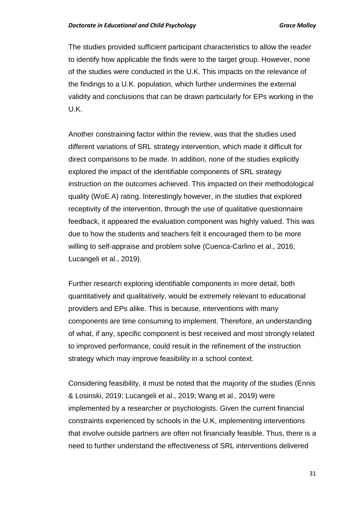The studies provided sufficient participant characteristics to allow the reader to identify how applicable the finds were to the target group. However, none of the studies were conducted in the U.K. This impacts on the relevance of the findings to a U.K. population, which further undermines the external validity and conclusions that can be drawn particularly for EPs working in the U.K.

Another constraining factor within the review, was that the studies used different variations of SRL strategy intervention, which made it difficult for direct comparisons to be made. In addition, none of the studies explicitly explored the impact of the identifiable components of SRL strategy instruction on the outcomes achieved. This impacted on their methodological quality (WoE A) rating. Interestingly however, in the studies that explored receptivity of the intervention, through the use of qualitative questionnaire feedback, it appeared the evaluation component was highly valued. This was due to how the students and teachers felt it encouraged them to be more willing to self-appraise and problem solve (Cuenca-Carlino et al., 2016; Lucangeli et al., 2019).

Further research exploring identifiable components in more detail, both quantitatively and qualitatively, would be extremely relevant to educational providers and EPs alike. This is because, interventions with many components are time consuming to implement. Therefore, an understanding of what, if any, specific component is best received and most strongly related to improved performance, could result in the refinement of the instruction strategy which may improve feasibility in a school context.

Considering feasibility, it must be noted that the majority of the studies (Ennis & Losinski, 2019; Lucangeli et al., 2019; Wang et al., 2019) were implemented by a researcher or psychologists. Given the current financial constraints experienced by schools in the U.K, implementing interventions that involve outside partners are often not financially feasible. Thus, there is a need to further understand the effectiveness of SRL interventions delivered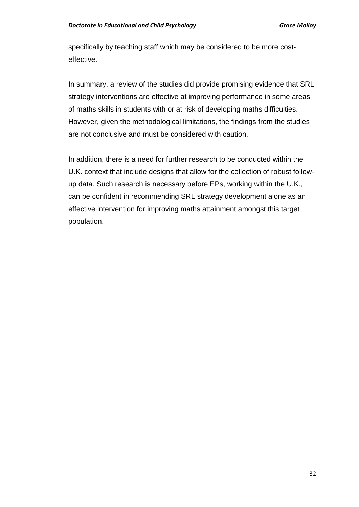specifically by teaching staff which may be considered to be more costeffective.

In summary, a review of the studies did provide promising evidence that SRL strategy interventions are effective at improving performance in some areas of maths skills in students with or at risk of developing maths difficulties. However, given the methodological limitations, the findings from the studies are not conclusive and must be considered with caution.

In addition, there is a need for further research to be conducted within the U.K. context that include designs that allow for the collection of robust followup data. Such research is necessary before EPs, working within the U.K., can be confident in recommending SRL strategy development alone as an effective intervention for improving maths attainment amongst this target population.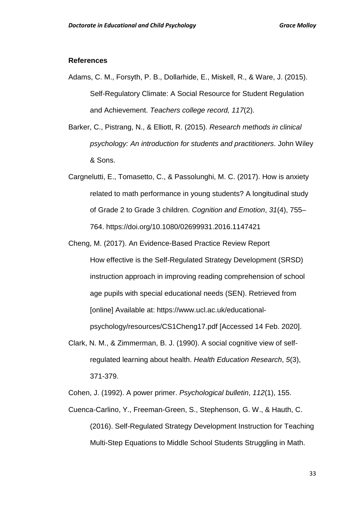#### **References**

- Adams, C. M., Forsyth, P. B., Dollarhide, E., Miskell, R., & Ware, J. (2015). Self-Regulatory Climate: A Social Resource for Student Regulation and Achievement. *Teachers college record, 117*(2).
- Barker, C., Pistrang, N., & Elliott, R. (2015). *Research methods in clinical psychology: An introduction for students and practitioners*. John Wiley & Sons.
- Cargnelutti, E., Tomasetto, C., & Passolunghi, M. C. (2017). How is anxiety related to math performance in young students? A longitudinal study of Grade 2 to Grade 3 children. *Cognition and Emotion*, *31*(4), 755– 764. https://doi.org/10.1080/02699931.2016.1147421
- Cheng, M. (2017). An Evidence-Based Practice Review Report How effective is the Self-Regulated Strategy Development (SRSD) instruction approach in improving reading comprehension of school age pupils with special educational needs (SEN). Retrieved from [online] Available at: https://www.ucl.ac.uk/educationalpsychology/resources/CS1Cheng17.pdf [Accessed 14 Feb. 2020].
- Clark, N. M., & Zimmerman, B. J. (1990). A social cognitive view of selfregulated learning about health. *Health Education Research*, *5*(3), 371-379.

Cohen, J. (1992). A power primer. *Psychological bulletin*, *112*(1), 155.

Cuenca-Carlino, Y., Freeman-Green, S., Stephenson, G. W., & Hauth, C. (2016). Self-Regulated Strategy Development Instruction for Teaching Multi-Step Equations to Middle School Students Struggling in Math.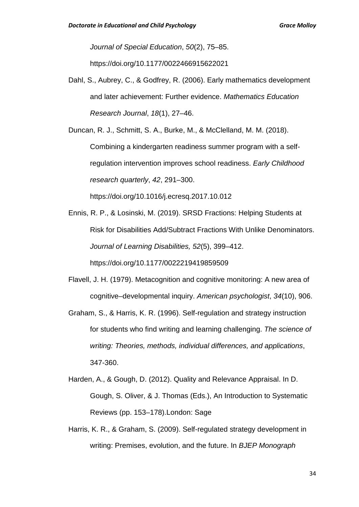*Journal of Special Education*, *50*(2), 75–85.

https://doi.org/10.1177/0022466915622021

Dahl, S., Aubrey, C., & Godfrey, R. (2006). Early mathematics development and later achievement: Further evidence. *Mathematics Education Research Journal*, *18*(1), 27–46.

Duncan, R. J., Schmitt, S. A., Burke, M., & McClelland, M. M. (2018). Combining a kindergarten readiness summer program with a selfregulation intervention improves school readiness. *Early Childhood research quarterly*, *42*, 291–300.

https://doi.org/10.1016/j.ecresq.2017.10.012

- Ennis, R. P., & Losinski, M. (2019). SRSD Fractions: Helping Students at Risk for Disabilities Add/Subtract Fractions With Unlike Denominators. *Journal of Learning Disabilities, 52*(5), 399–412. https://doi.org/10.1177/0022219419859509
- Flavell, J. H. (1979). Metacognition and cognitive monitoring: A new area of cognitive–developmental inquiry. *American psychologist*, *34*(10), 906.
- Graham, S., & Harris, K. R. (1996). Self-regulation and strategy instruction for students who find writing and learning challenging. *The science of writing: Theories, methods, individual differences, and applications*, 347-360.
- Harden, A., & Gough, D. (2012). Quality and Relevance Appraisal. In D. Gough, S. Oliver, & J. Thomas (Eds.), An Introduction to Systematic Reviews (pp. 153–178).London: Sage
- Harris, K. R., & Graham, S. (2009). Self-regulated strategy development in writing: Premises, evolution, and the future. In *BJEP Monograph*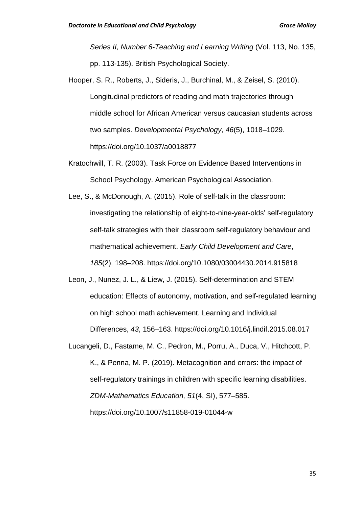*Series II, Number 6-Teaching and Learning Writing* (Vol. 113, No. 135, pp. 113-135). British Psychological Society.

- Hooper, S. R., Roberts, J., Sideris, J., Burchinal, M., & Zeisel, S. (2010). Longitudinal predictors of reading and math trajectories through middle school for African American versus caucasian students across two samples. *Developmental Psychology*, *46*(5), 1018–1029. https://doi.org/10.1037/a0018877
- Kratochwill, T. R. (2003). Task Force on Evidence Based Interventions in School Psychology. American Psychological Association.
- Lee, S., & McDonough, A. (2015). Role of self-talk in the classroom: investigating the relationship of eight-to-nine-year-olds' self-regulatory self-talk strategies with their classroom self-regulatory behaviour and mathematical achievement. *Early Child Development and Care*, *185*(2), 198–208. https://doi.org/10.1080/03004430.2014.915818
- Leon, J., Nunez, J. L., & Liew, J. (2015). Self-determination and STEM education: Effects of autonomy, motivation, and self-regulated learning on high school math achievement. Learning and Individual Differences, *43*, 156–163. https://doi.org/10.1016/j.lindif.2015.08.017
- Lucangeli, D., Fastame, M. C., Pedron, M., Porru, A., Duca, V., Hitchcott, P. K., & Penna, M. P. (2019). Metacognition and errors: the impact of self-regulatory trainings in children with specific learning disabilities. *ZDM-Mathematics Education, 51*(4, SI), 577–585.

https://doi.org/10.1007/s11858-019-01044-w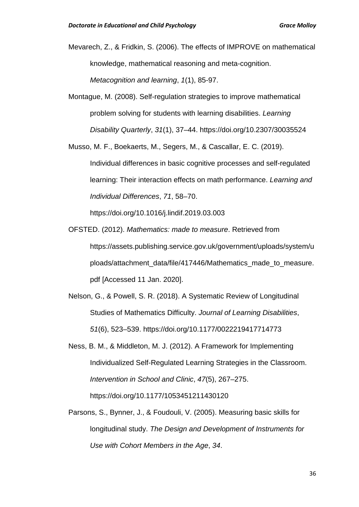Mevarech, Z., & Fridkin, S. (2006). The effects of IMPROVE on mathematical knowledge, mathematical reasoning and meta-cognition. *Metacognition and learning*, *1*(1), 85-97.

Montague, M. (2008). Self-regulation strategies to improve mathematical problem solving for students with learning disabilities. *Learning Disability Quarterly*, *31*(1), 37–44. https://doi.org/10.2307/30035524

Musso, M. F., Boekaerts, M., Segers, M., & Cascallar, E. C. (2019). Individual differences in basic cognitive processes and self-regulated learning: Their interaction effects on math performance. *Learning and Individual Differences*, *71*, 58–70.

https://doi.org/10.1016/j.lindif.2019.03.003

- OFSTED. (2012). *Mathematics: made to measure*. Retrieved from https://assets.publishing.service.gov.uk/government/uploads/system/u ploads/attachment\_data/file/417446/Mathematics\_made\_to\_measure. pdf [Accessed 11 Jan. 2020].
- Nelson, G., & Powell, S. R. (2018). A Systematic Review of Longitudinal Studies of Mathematics Difficulty. *Journal of Learning Disabilities*, *51*(6), 523–539. https://doi.org/10.1177/0022219417714773
- Ness, B. M., & Middleton, M. J. (2012). A Framework for Implementing Individualized Self-Regulated Learning Strategies in the Classroom. *Intervention in School and Clinic*, *47*(5), 267–275. https://doi.org/10.1177/1053451211430120
- Parsons, S., Bynner, J., & Foudouli, V. (2005). Measuring basic skills for longitudinal study. *The Design and Development of Instruments for Use with Cohort Members in the Age*, *34*.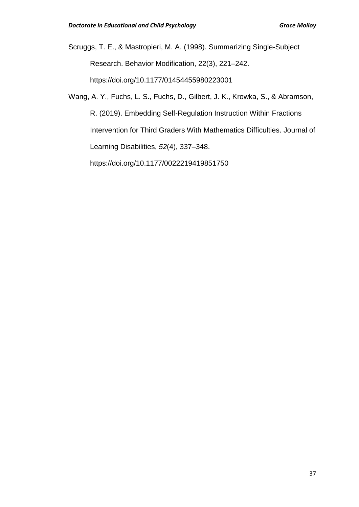Scruggs, T. E., & Mastropieri, M. A. (1998). Summarizing Single-Subject Research. Behavior Modification, 22(3), 221–242. https://doi.org/10.1177/01454455980223001

Wang, A. Y., Fuchs, L. S., Fuchs, D., Gilbert, J. K., Krowka, S., & Abramson, R. (2019). Embedding Self-Regulation Instruction Within Fractions Intervention for Third Graders With Mathematics Difficulties. Journal of Learning Disabilities, *52*(4), 337–348. https://doi.org/10.1177/0022219419851750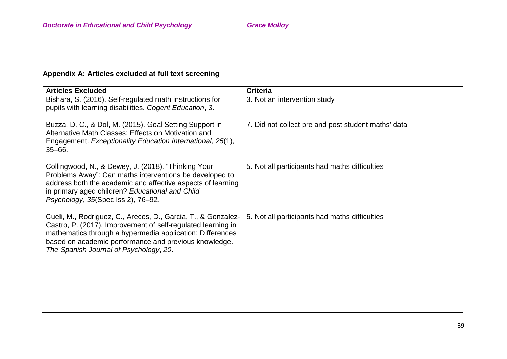# **Appendix A: Articles excluded at full text screening**

| <b>Articles Excluded</b>                                                                                                                                                                                                                                                                      | <b>Criteria</b>                                     |
|-----------------------------------------------------------------------------------------------------------------------------------------------------------------------------------------------------------------------------------------------------------------------------------------------|-----------------------------------------------------|
| Bishara, S. (2016). Self-regulated math instructions for<br>pupils with learning disabilities. Cogent Education, 3.                                                                                                                                                                           | 3. Not an intervention study                        |
| Buzza, D. C., & Dol, M. (2015). Goal Setting Support in<br>Alternative Math Classes: Effects on Motivation and<br>Engagement. Exceptionality Education International, 25(1),<br>$35 - 66.$                                                                                                    | 7. Did not collect pre and post student maths' data |
| Collingwood, N., & Dewey, J. (2018). "Thinking Your<br>Problems Away": Can maths interventions be developed to<br>address both the academic and affective aspects of learning<br>in primary aged children? Educational and Child<br>Psychology, 35(Spec Iss 2), 76-92.                        | 5. Not all participants had maths difficulties      |
| Cueli, M., Rodriguez, C., Areces, D., Garcia, T., & Gonzalez-<br>Castro, P. (2017). Improvement of self-regulated learning in<br>mathematics through a hypermedia application: Differences<br>based on academic performance and previous knowledge.<br>The Spanish Journal of Psychology, 20. | 5. Not all participants had maths difficulties      |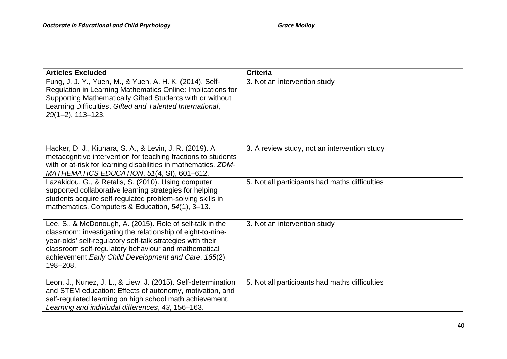| <b>Articles Excluded</b>                                                                                                                                                                                                                                                                                             | <b>Criteria</b>                                |
|----------------------------------------------------------------------------------------------------------------------------------------------------------------------------------------------------------------------------------------------------------------------------------------------------------------------|------------------------------------------------|
| Fung, J. J. Y., Yuen, M., & Yuen, A. H. K. (2014). Self-<br>Regulation in Learning Mathematics Online: Implications for<br>Supporting Mathematically Gifted Students with or without<br>Learning Difficulties. Gifted and Talented International,<br>$29(1-2)$ , 113-123.                                            | 3. Not an intervention study                   |
| Hacker, D. J., Kiuhara, S. A., & Levin, J. R. (2019). A<br>metacognitive intervention for teaching fractions to students<br>with or at-risk for learning disabilities in mathematics. ZDM-<br>MATHEMATICS EDUCATION, 51(4, SI), 601-612.                                                                             | 3. A review study, not an intervention study   |
| Lazakidou, G., & Retalis, S. (2010). Using computer<br>supported collaborative learning strategies for helping<br>students acquire self-regulated problem-solving skills in<br>mathematics. Computers & Education, 54(1), 3-13.                                                                                      | 5. Not all participants had maths difficulties |
| Lee, S., & McDonough, A. (2015). Role of self-talk in the<br>classroom: investigating the relationship of eight-to-nine-<br>year-olds' self-regulatory self-talk strategies with their<br>classroom self-regulatory behaviour and mathematical<br>achievement. Early Child Development and Care, 185(2),<br>198-208. | 3. Not an intervention study                   |
| Leon, J., Nunez, J. L., & Liew, J. (2015). Self-determination<br>and STEM education: Effects of autonomy, motivation, and<br>self-regulated learning on high school math achievement.<br>Learning and indiviudal differences, 43, 156-163.                                                                           | 5. Not all participants had maths difficulties |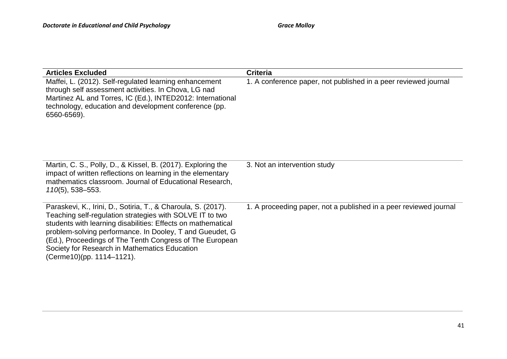| <b>Articles Excluded</b>                                                                                                                                                                                                                                                                                                                                                                        | <b>Criteria</b>                                                   |
|-------------------------------------------------------------------------------------------------------------------------------------------------------------------------------------------------------------------------------------------------------------------------------------------------------------------------------------------------------------------------------------------------|-------------------------------------------------------------------|
| Maffei, L. (2012). Self-regulated learning enhancement<br>through self assessment activities. In Chova, LG nad<br>Martinez AL and Torres, IC (Ed.), INTED2012: International<br>technology, education and development conference (pp.<br>6560-6569).                                                                                                                                            | 1. A conference paper, not published in a peer reviewed journal   |
| Martin, C. S., Polly, D., & Kissel, B. (2017). Exploring the<br>impact of written reflections on learning in the elementary<br>mathematics classroom. Journal of Educational Research,<br>$110(5)$ , 538–553.                                                                                                                                                                                   | 3. Not an intervention study                                      |
| Paraskevi, K., Irini, D., Sotiria, T., & Charoula, S. (2017).<br>Teaching self-regulation strategies with SOLVE IT to two<br>students with learning disabilities: Effects on mathematical<br>problem-solving performance. In Dooley, T and Gueudet, G<br>(Ed.), Proceedings of The Tenth Congress of The European<br>Society for Research in Mathematics Education<br>(Cerme10)(pp. 1114–1121). | 1. A proceeding paper, not a published in a peer reviewed journal |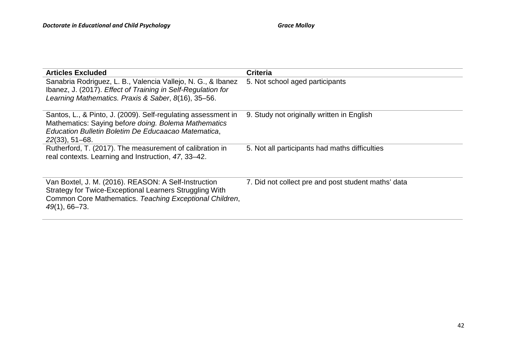| <b>Articles Excluded</b>                                                                                                                                                                         | <b>Criteria</b>                                     |
|--------------------------------------------------------------------------------------------------------------------------------------------------------------------------------------------------|-----------------------------------------------------|
| Sanabria Rodriguez, L. B., Valencia Vallejo, N. G., & Ibanez<br>Ibanez, J. (2017). Effect of Training in Self-Regulation for<br>Learning Mathematics. Praxis & Saber, 8(16), 35-56.              | 5. Not school aged participants                     |
| Santos, L., & Pinto, J. (2009). Self-regulating assessment in<br>Mathematics: Saying before doing. Bolema Mathematics<br>Education Bulletin Boletim De Educaacao Matematica,<br>$22(33), 51-68.$ | 9. Study not originally written in English          |
| Rutherford, T. (2017). The measurement of calibration in<br>real contexts. Learning and Instruction, 47, 33-42.                                                                                  | 5. Not all participants had maths difficulties      |
| Van Boxtel, J. M. (2016). REASON: A Self-Instruction<br>Strategy for Twice-Exceptional Learners Struggling With<br>Common Core Mathematics. Teaching Exceptional Children,<br>$49(1)$ , 66-73.   | 7. Did not collect pre and post student maths' data |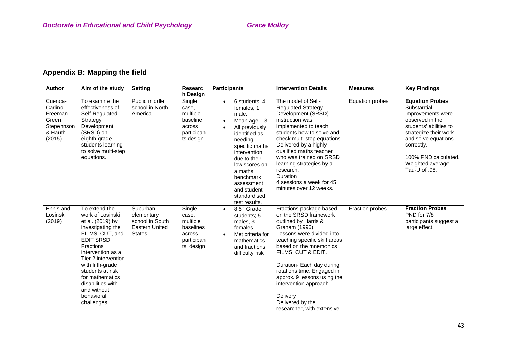# **Appendix B: Mapping the field**

| <b>Author</b>                                                                | Aim of the study                                                                                                                                                                                                                                                                                             | <b>Setting</b>                                                                | <b>Researc</b><br>h Design                                                    | <b>Participants</b>                                                                                                                                                                                                                                                                   | <b>Intervention Details</b>                                                                                                                                                                                                                                                                                                                                                                | <b>Measures</b>        | <b>Key Findings</b>                                                                                                                                                                                                                |
|------------------------------------------------------------------------------|--------------------------------------------------------------------------------------------------------------------------------------------------------------------------------------------------------------------------------------------------------------------------------------------------------------|-------------------------------------------------------------------------------|-------------------------------------------------------------------------------|---------------------------------------------------------------------------------------------------------------------------------------------------------------------------------------------------------------------------------------------------------------------------------------|--------------------------------------------------------------------------------------------------------------------------------------------------------------------------------------------------------------------------------------------------------------------------------------------------------------------------------------------------------------------------------------------|------------------------|------------------------------------------------------------------------------------------------------------------------------------------------------------------------------------------------------------------------------------|
| Cuenca-<br>Carlino,<br>Freeman-<br>Green.<br>Stepehnson<br>& Hauth<br>(2015) | To examine the<br>effectiveness of<br>Self-Regulated<br>Strategy<br>Development<br>(SRSD) on<br>eighth-grade<br>students learning<br>to solve multi-step<br>equations.                                                                                                                                       | Public middle<br>school in North<br>America.                                  | Single<br>case,<br>multiple<br>baseline<br>across<br>participan<br>ts design  | 6 students; 4<br>$\bullet$<br>females, 1<br>male.<br>Mean age: 13<br>All previously<br>$\bullet$<br>identified as<br>needing<br>specific maths<br>intervention<br>due to their<br>low scores on<br>a maths<br>benchmark<br>assessment<br>and student<br>standardised<br>test results. | The model of Self-<br><b>Regulated Strategy</b><br>Development (SRSD)<br>instruction was<br>implemented to teach<br>students how to solve and<br>check multi-step equations.<br>Delivered by a highly<br>qualified maths teacher<br>who was trained on SRSD<br>learning strategies by a<br>research.<br>Duration<br>4 sessions a week for 45<br>minutes over 12 weeks.                     | <b>Equation probes</b> | <b>Equation Probes</b><br>Substantial<br>improvements were<br>observed in the<br>students' abilities to<br>strategize their work<br>and solve equations<br>correctly.<br>100% PND calculated.<br>Weighted average<br>Tau-U of .98. |
| Ennis and<br>Losinski<br>(2019)                                              | To extend the<br>work of Losinski<br>et al. (2019) by<br>investigating the<br>FILMS, CUT, and<br><b>EDIT SRSD</b><br><b>Fractions</b><br>intervention as a<br>Tier 2 intervention<br>with fifth-grade<br>students at risk<br>for mathematics<br>disabilities with<br>and without<br>behavioral<br>challenges | Suburban<br>elementary<br>school in South<br><b>Eastern United</b><br>States. | Single<br>case,<br>multiple<br>baselines<br>across<br>participan<br>ts design | 8 5 <sup>th</sup> Grade<br>$\bullet$<br>students; 5<br>males, 3<br>females.<br>Met criteria for<br>$\bullet$<br>mathematics<br>and fractions<br>difficulty risk                                                                                                                       | Fractions package based<br>on the SRSD framework<br>outlined by Harris &<br>Graham (1996).<br>Lessons were divided into<br>teaching specific skill areas<br>based on the mnemonics<br>FILMS, CUT & EDIT.<br>Duration- Each day during<br>rotations time. Engaged in<br>approx. 9 lessons using the<br>intervention approach.<br>Delivery<br>Delivered by the<br>researcher, with extensive | Fraction probes        | <b>Fraction Probes</b><br>PND for 7/8<br>participants suggest a<br>large effect.                                                                                                                                                   |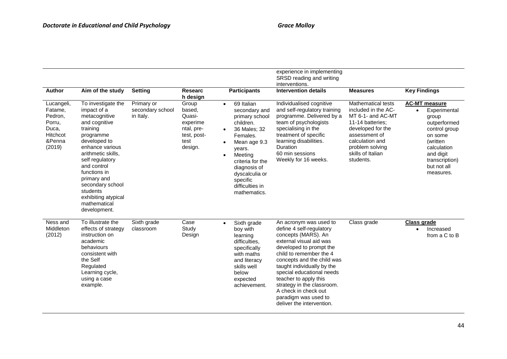| Author                                                                              | Aim of the study                                                                                                                                                                                                                                                                                              | <b>Setting</b>                              | <b>Researc</b>                                                                                    | <b>Participants</b>                                                                                                                                                                                                                                        | experience in implementing<br>SRSD reading and writing<br>interventions.<br><b>Intervention details</b>                                                                                                                                                                                                                                                                                 | <b>Measures</b>                                                                                                                                                                                  | <b>Key Findings</b>                                                                                                                                                                          |
|-------------------------------------------------------------------------------------|---------------------------------------------------------------------------------------------------------------------------------------------------------------------------------------------------------------------------------------------------------------------------------------------------------------|---------------------------------------------|---------------------------------------------------------------------------------------------------|------------------------------------------------------------------------------------------------------------------------------------------------------------------------------------------------------------------------------------------------------------|-----------------------------------------------------------------------------------------------------------------------------------------------------------------------------------------------------------------------------------------------------------------------------------------------------------------------------------------------------------------------------------------|--------------------------------------------------------------------------------------------------------------------------------------------------------------------------------------------------|----------------------------------------------------------------------------------------------------------------------------------------------------------------------------------------------|
| Lucangeli,<br>Fatame,<br>Pedron,<br>Porru,<br>Duca,<br>Hitchcot<br>&Penna<br>(2019) | To investigate the<br>impact of a<br>metacognitive<br>and cognitive<br>training<br>programme<br>developed to<br>enhance various<br>arithmetic skills,<br>self regulatory<br>and control<br>functions in<br>primary and<br>secondary school<br>students<br>exhibiting atypical<br>mathematical<br>development. | Primary or<br>secondary school<br>in Italy. | h design<br>Group<br>based,<br>Quasi-<br>experime<br>ntal, pre-<br>test, post-<br>test<br>design. | 69 Italian<br>$\bullet$<br>secondary and<br>primary school<br>children.<br>36 Males: 32<br>$\bullet$<br>Females.<br>Mean age 9.3<br>years.<br>Meeting<br>criteria for the<br>diagnosis of<br>dyscalculia or<br>specific<br>difficulties in<br>mathematics. | Individualised cognitive<br>and self-regulatory training<br>programme. Delivered by a<br>team of psychologists<br>specialising in the<br>treatment of specific<br>learning disabilities.<br><b>Duration</b><br>60 min sessions<br>Weekly for 16 weeks.                                                                                                                                  | Mathematical tests<br>included in the AC-<br>MT 6-1- and AC-MT<br>11-14 batteries;<br>developed for the<br>assessment of<br>calculation and<br>problem solving<br>skills of Italian<br>students. | <b>AC-MT</b> measure<br>Experimental<br>$\bullet$<br>group<br>outperformed<br>control group<br>on some<br>(written<br>calculation<br>and digit<br>transcription)<br>but not all<br>measures. |
| Ness and<br>Middleton<br>(2012)                                                     | To illustrate the<br>effects of strategy<br>instruction on<br>academic<br>behaviours<br>consistent with<br>the Self<br>Regulated<br>Learning cycle,<br>using a case<br>example.                                                                                                                               | Sixth grade<br>classroom                    | Case<br>Study<br>Design                                                                           | Sixth grade<br>$\bullet$<br>boy with<br>learning<br>difficulties.<br>specifically<br>with maths<br>and literacy<br>skills well<br>below<br>expected<br>achievement.                                                                                        | An acronym was used to<br>define 4 self-regulatory<br>concepts (MARS). An<br>external visual aid was<br>developed to prompt the<br>child to remember the 4<br>concepts and the child was<br>taught individually by the<br>special educational needs<br>teacher to apply this<br>strategy in the classroom.<br>A check in check out<br>paradigm was used to<br>deliver the intervention. | Class grade                                                                                                                                                                                      | <b>Class grade</b><br>Increased<br>$\bullet$<br>from a C to B                                                                                                                                |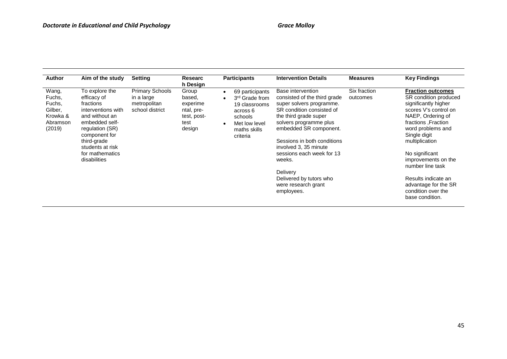| <b>Author</b>                                                          | Aim of the study                                                                                                                                                                                               | <b>Setting</b>                                                          | Researc<br>h Design                                                        | <b>Participants</b>                                                                                                                | <b>Intervention Details</b>                                                                                                                                                                                                                                                                                                                                        | <b>Measures</b>          | <b>Key Findings</b>                                                                                                                                                                                                                                                                                                                                        |
|------------------------------------------------------------------------|----------------------------------------------------------------------------------------------------------------------------------------------------------------------------------------------------------------|-------------------------------------------------------------------------|----------------------------------------------------------------------------|------------------------------------------------------------------------------------------------------------------------------------|--------------------------------------------------------------------------------------------------------------------------------------------------------------------------------------------------------------------------------------------------------------------------------------------------------------------------------------------------------------------|--------------------------|------------------------------------------------------------------------------------------------------------------------------------------------------------------------------------------------------------------------------------------------------------------------------------------------------------------------------------------------------------|
| Wang,<br>Fuchs,<br>Fuchs,<br>Gilber,<br>Krowka &<br>Abramson<br>(2019) | To explore the<br>efficacy of<br>fractions<br>interventions with<br>and without an<br>embedded self-<br>regulation (SR)<br>component for<br>third-grade<br>students at risk<br>for mathematics<br>disabilities | <b>Primary Schools</b><br>in a large<br>metropolitan<br>school district | Group<br>based,<br>experime<br>ntal, pre-<br>test, post-<br>test<br>design | 69 participants<br>3 <sup>rd</sup> Grade from<br>19 classrooms<br>across 6<br>schools<br>Met low level<br>maths skills<br>criteria | Base intervention<br>consisted of the third grade<br>super solvers programme.<br>SR condition consisted of<br>the third grade super<br>solvers programme plus<br>embedded SR component.<br>Sessions in both conditions<br>involved 3, 35 minute<br>sessions each week for 13<br>weeks.<br>Delivery<br>Delivered by tutors who<br>were research grant<br>employees. | Six fraction<br>outcomes | <b>Fraction outcomes</b><br>SR condition produced<br>significantly higher<br>scores V's control on<br>NAEP, Ordering of<br>fractions, Fraction<br>word problems and<br>Single digit<br>multiplication<br>No significant<br>improvements on the<br>number line task<br>Results indicate an<br>advantage for the SR<br>condition over the<br>base condition. |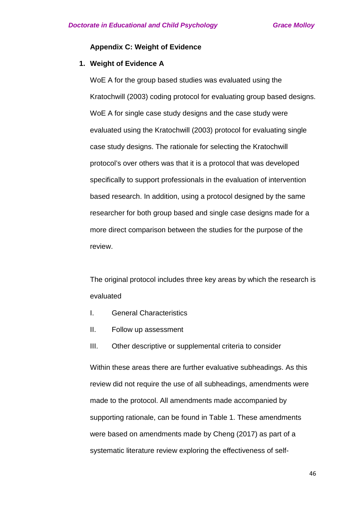# **Appendix C: Weight of Evidence**

# **1. Weight of Evidence A**

WoE A for the group based studies was evaluated using the Kratochwill (2003) coding protocol for evaluating group based designs. WoE A for single case study designs and the case study were evaluated using the Kratochwill (2003) protocol for evaluating single case study designs. The rationale for selecting the Kratochwill protocol's over others was that it is a protocol that was developed specifically to support professionals in the evaluation of intervention based research. In addition, using a protocol designed by the same researcher for both group based and single case designs made for a more direct comparison between the studies for the purpose of the review.

The original protocol includes three key areas by which the research is evaluated

- I. General Characteristics
- II. Follow up assessment
- III. Other descriptive or supplemental criteria to consider

Within these areas there are further evaluative subheadings. As this review did not require the use of all subheadings, amendments were made to the protocol. All amendments made accompanied by supporting rationale, can be found in Table 1. These amendments were based on amendments made by Cheng (2017) as part of a systematic literature review exploring the effectiveness of self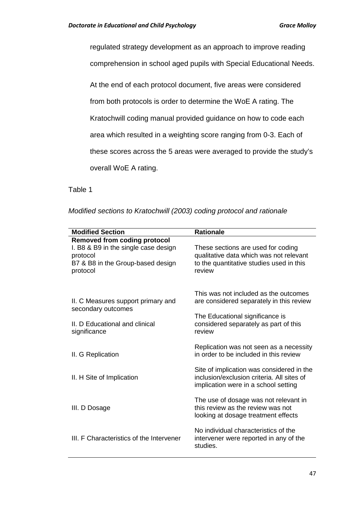regulated strategy development as an approach to improve reading

comprehension in school aged pupils with Special Educational Needs.

At the end of each protocol document, five areas were considered

from both protocols is order to determine the WoE A rating. The

Kratochwill coding manual provided guidance on how to code each

area which resulted in a weighting score ranging from 0-3. Each of

these scores across the 5 areas were averaged to provide the study's

overall WoE A rating.

Table 1

*Modified sections to Kratochwill (2003) coding protocol and rationale* 

| <b>Modified Section</b>                        | <b>Rationale</b>                                                                        |
|------------------------------------------------|-----------------------------------------------------------------------------------------|
| <b>Removed from coding protocol</b>            |                                                                                         |
| I. B8 & B9 in the single case design           | These sections are used for coding                                                      |
| protocol                                       | qualitative data which was not relevant                                                 |
| B7 & B8 in the Group-based design              | to the quantitative studies used in this                                                |
| protocol                                       | review                                                                                  |
|                                                |                                                                                         |
|                                                | This was not included as the outcomes                                                   |
| II. C Measures support primary and             | are considered separately in this review                                                |
| secondary outcomes                             |                                                                                         |
|                                                | The Educational significance is                                                         |
| II. D Educational and clinical<br>significance | considered separately as part of this<br>review                                         |
|                                                |                                                                                         |
|                                                | Replication was not seen as a necessity                                                 |
| II. G Replication                              | in order to be included in this review                                                  |
|                                                |                                                                                         |
| II. H Site of Implication                      | Site of implication was considered in the<br>inclusion/exclusion criteria. All sites of |
|                                                | implication were in a school setting                                                    |
|                                                |                                                                                         |
|                                                | The use of dosage was not relevant in                                                   |
| III. D Dosage                                  | this review as the review was not                                                       |
|                                                | looking at dosage treatment effects                                                     |
|                                                | No individual characteristics of the                                                    |
| III. F Characteristics of the Intervener       | intervener were reported in any of the                                                  |
|                                                | studies.                                                                                |
|                                                |                                                                                         |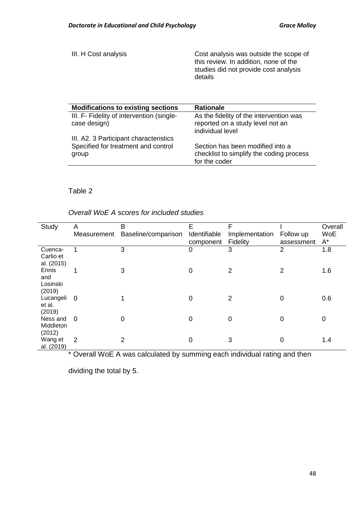III. H Cost analysis **Cost analysis was outside the scope of** this review. In addition, none of the studies did not provide cost analysis details

| <b>Modifications to existing sections</b>                                              | <b>Rationale</b>                                                                                |
|----------------------------------------------------------------------------------------|-------------------------------------------------------------------------------------------------|
| III. F- Fidelity of intervention (single-<br>case design)                              | As the fidelity of the intervention was<br>reported on a study level not an<br>individual level |
| III. A2. 3 Participant characteristics<br>Specified for treatment and control<br>group | Section has been modified into a<br>checklist to simplify the coding process<br>for the coder   |

# Table 2

*Overall WoE A scores for included studies* 

| Study                              | A<br>Measurement | B<br>Baseline/comparison | E<br>Identifiable<br>component | F<br>Implementation<br><b>Fidelity</b> | Follow up<br>assessment | Overall<br><b>WoE</b><br>A* |
|------------------------------------|------------------|--------------------------|--------------------------------|----------------------------------------|-------------------------|-----------------------------|
| Cuenca-<br>Carlio et<br>al. (2015) | 1                | 3                        | 0                              | 3                                      | $\overline{2}$          | 1.8                         |
| Ennis<br>and<br>Losinski<br>(2019) | 1                | 3                        | $\Omega$                       | $\overline{2}$                         | $\overline{2}$          | 1.6                         |
| Lucangeli<br>et al.<br>(2019)      | - 0              |                          | $\Omega$                       | $\overline{2}$                         | 0                       | 0.6                         |
| Ness and<br>Middleton<br>(2012)    | $\Omega$         | 0                        | $\Omega$                       | 0                                      | 0                       | 0                           |
| Wang et<br>al. (2019)              | 2                | 2                        | 0                              | 3                                      | 0                       | 1.4                         |

\* Overall WoE A was calculated by summing each individual rating and then

dividing the total by 5.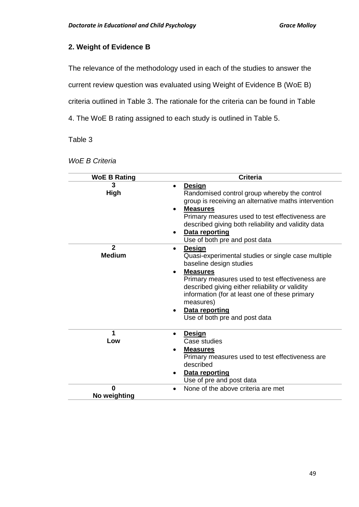# **2. Weight of Evidence B**

The relevance of the methodology used in each of the studies to answer the

current review question was evaluated using Weight of Evidence B (WoE B)

criteria outlined in Table 3. The rationale for the criteria can be found in Table

4. The WoE B rating assigned to each study is outlined in Table 5.

Table 3

| <b>WoE B Rating</b>           | <b>Criteria</b>                                                                                                                                                                                                                                                                                                                                 |
|-------------------------------|-------------------------------------------------------------------------------------------------------------------------------------------------------------------------------------------------------------------------------------------------------------------------------------------------------------------------------------------------|
| 3<br><b>High</b>              | <b>Design</b><br>$\bullet$<br>Randomised control group whereby the control<br>group is receiving an alternative maths intervention<br><b>Measures</b><br>Primary measures used to test effectiveness are<br>described giving both reliability and validity data<br><b>Data reporting</b><br>$\bullet$<br>Use of both pre and post data          |
| $\mathbf{2}$<br><b>Medium</b> | Design<br>$\bullet$<br>Quasi-experimental studies or single case multiple<br>baseline design studies<br><b>Measures</b><br>Primary measures used to test effectiveness are<br>described giving either reliability or validity<br>information (for at least one of these primary<br>measures)<br>Data reporting<br>Use of both pre and post data |
| 1<br>Low                      | Design<br>$\bullet$<br>Case studies<br><b>Measures</b><br>$\bullet$<br>Primary measures used to test effectiveness are<br>described<br>Data reporting<br>Use of pre and post data                                                                                                                                                               |
| <sup>0</sup><br>No weighting  | None of the above criteria are met<br>$\bullet$                                                                                                                                                                                                                                                                                                 |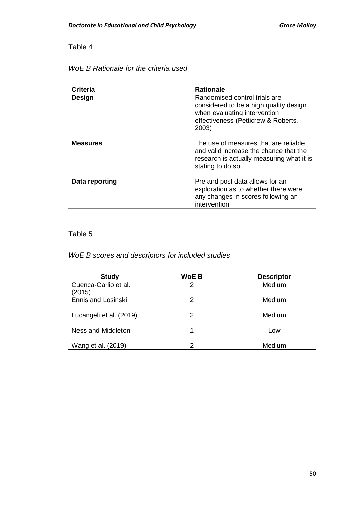# Table 4

# *WoE B Rationale for the criteria used*

| <b>Criteria</b> | <b>Rationale</b>                                                                                                                                        |
|-----------------|---------------------------------------------------------------------------------------------------------------------------------------------------------|
| Design          | Randomised control trials are<br>considered to be a high quality design<br>when evaluating intervention<br>effectiveness (Petticrew & Roberts,<br>2003) |
| <b>Measures</b> | The use of measures that are reliable<br>and valid increase the chance that the<br>research is actually measuring what it is<br>stating to do so.       |
| Data reporting  | Pre and post data allows for an<br>exploration as to whether there were<br>any changes in scores following an<br>intervention                           |

# Table 5

# *WoE B scores and descriptors for included studies*

| <b>Study</b>                   | <b>WoE B</b> | <b>Descriptor</b> |
|--------------------------------|--------------|-------------------|
| Cuenca-Carlio et al.<br>(2015) | 2            | Medium            |
| Ennis and Losinski             | 2            | Medium            |
| Lucangeli et al. (2019)        | 2            | Medium            |
| Ness and Middleton             | 1            | Low               |
| Wang et al. (2019)             | 2            | Medium            |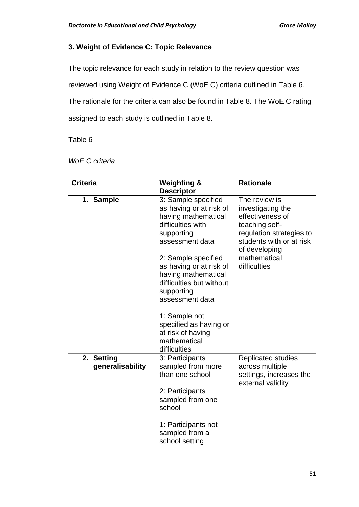# **3. Weight of Evidence C: Topic Relevance**

The topic relevance for each study in relation to the review question was

reviewed using Weight of Evidence C (WoE C) criteria outlined in Table 6.

The rationale for the criteria can also be found in Table 8. The WoE C rating

assigned to each study is outlined in Table 8.

Table 6

| <b>Criteria</b>                | <b>Weighting &amp;</b><br><b>Descriptor</b>                                                                                                                                                                                                                                        | <b>Rationale</b>                                                                                                                                                                  |
|--------------------------------|------------------------------------------------------------------------------------------------------------------------------------------------------------------------------------------------------------------------------------------------------------------------------------|-----------------------------------------------------------------------------------------------------------------------------------------------------------------------------------|
| 1. Sample                      | 3: Sample specified<br>as having or at risk of<br>having mathematical<br>difficulties with<br>supporting<br>assessment data<br>2: Sample specified<br>as having or at risk of<br>having mathematical<br>difficulties but without<br>supporting<br>assessment data<br>1: Sample not | The review is<br>investigating the<br>effectiveness of<br>teaching self-<br>regulation strategies to<br>students with or at risk<br>of developing<br>mathematical<br>difficulties |
|                                | specified as having or<br>at risk of having<br>mathematical<br>difficulties                                                                                                                                                                                                        |                                                                                                                                                                                   |
| 2. Setting<br>generalisability | 3: Participants<br>sampled from more<br>than one school                                                                                                                                                                                                                            | <b>Replicated studies</b><br>across multiple<br>settings, increases the<br>external validity                                                                                      |
|                                | 2: Participants<br>sampled from one<br>school                                                                                                                                                                                                                                      |                                                                                                                                                                                   |
|                                | 1: Participants not<br>sampled from a<br>school setting                                                                                                                                                                                                                            |                                                                                                                                                                                   |

*WoE C criteria*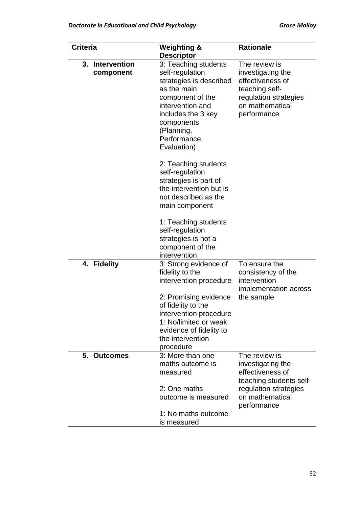| <b>Criteria</b><br>Intervention<br>3.<br>component |  | <b>Weighting &amp;</b><br><b>Descriptor</b>                                                                                                                                                                | <b>Rationale</b>                                                                                                                    |  |
|----------------------------------------------------|--|------------------------------------------------------------------------------------------------------------------------------------------------------------------------------------------------------------|-------------------------------------------------------------------------------------------------------------------------------------|--|
|                                                    |  | 3: Teaching students<br>self-regulation<br>strategies is described<br>as the main<br>component of the<br>intervention and<br>includes the 3 key<br>components<br>(Planning,<br>Performance,<br>Evaluation) | The review is<br>investigating the<br>effectiveness of<br>teaching self-<br>regulation strategies<br>on mathematical<br>performance |  |
|                                                    |  | 2: Teaching students<br>self-regulation<br>strategies is part of<br>the intervention but is<br>not described as the<br>main component                                                                      |                                                                                                                                     |  |
|                                                    |  | 1: Teaching students<br>self-regulation<br>strategies is not a<br>component of the<br>intervention                                                                                                         |                                                                                                                                     |  |
| 4. Fidelity                                        |  | 3: Strong evidence of<br>fidelity to the<br>intervention procedure                                                                                                                                         | To ensure the<br>consistency of the<br>intervention<br>implementation across                                                        |  |
|                                                    |  | 2: Promising evidence<br>of fidelity to the<br>intervention procedure<br>1: No/limited or weak<br>evidence of fidelity to<br>the intervention<br>procedure                                                 | the sample                                                                                                                          |  |
| 5. Outcomes                                        |  | 3: More than one<br>maths outcome is<br>measured                                                                                                                                                           | The review is<br>investigating the<br>effectiveness of<br>teaching students self-                                                   |  |
|                                                    |  | 2: One maths<br>outcome is measured                                                                                                                                                                        | regulation strategies<br>on mathematical<br>performance                                                                             |  |
|                                                    |  | 1: No maths outcome<br>is measured                                                                                                                                                                         |                                                                                                                                     |  |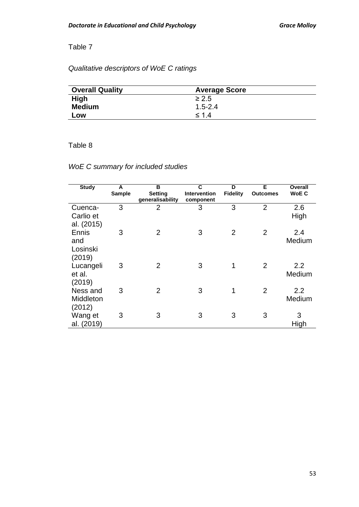# Table 7

# *Qualitative descriptors of WoE C ratings*

| <b>Overall Quality</b> | <b>Average Score</b> |  |
|------------------------|----------------------|--|
| <b>High</b>            | $\geq 2.5$           |  |
| <b>Medium</b>          | $1.5 - 2.4$          |  |
| Low                    | $\leq 14$            |  |

# Table 8

# *WoE C summary for included studies*

| <b>Study</b>                       | A<br><b>Sample</b> | B<br><b>Setting</b><br>generalisability | C<br>Intervention<br>component | D<br><b>Fidelity</b> | E<br><b>Outcomes</b> | <b>Overall</b><br><b>WoE C</b> |
|------------------------------------|--------------------|-----------------------------------------|--------------------------------|----------------------|----------------------|--------------------------------|
| Cuenca-<br>Carlio et<br>al. (2015) | 3                  | $\overline{2}$                          | 3                              | 3                    | $\overline{2}$       | 2.6<br>High                    |
| Ennis<br>and<br>Losinski<br>(2019) | 3                  | $\overline{2}$                          | 3                              | $\overline{2}$       | 2                    | 2.4<br>Medium                  |
| Lucangeli<br>et al.<br>(2019)      | 3                  | $\overline{2}$                          | 3                              | 1                    | 2                    | 2.2<br>Medium                  |
| Ness and<br>Middleton<br>(2012)    | 3                  | 2                                       | 3                              | 1                    | 2                    | 2.2<br>Medium                  |
| Wang et<br>al. (2019)              | 3                  | 3                                       | 3                              | 3                    | 3                    | 3<br>High                      |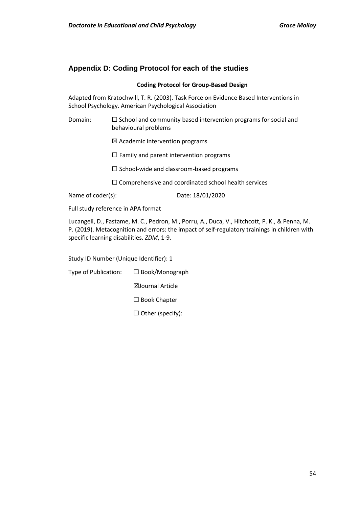# **Appendix D: Coding Protocol for each of the studies**

#### **Coding Protocol for Group-Based Design**

Adapted from Kratochwill, T. R. (2003). Task Force on Evidence Based Interventions in School Psychology. American Psychological Association

- Domain: □ School and community based intervention programs for social and behavioural problems
	- ☒ Academic intervention programs
	- $\Box$  Family and parent intervention programs
	- ☐ School-wide and classroom-based programs
	- ☐ Comprehensive and coordinated school health services

Name of coder(s): Date: 18/01/2020

Full study reference in APA format

Lucangeli, D., Fastame, M. C., Pedron, M., Porru, A., Duca, V., Hitchcott, P. K., & Penna, M. P. (2019). Metacognition and errors: the impact of self-regulatory trainings in children with specific learning disabilities. *ZDM*, 1-9.

Study ID Number (Unique Identifier): 1

Type of Publication: ☐ Book/Monograph

☒Journal Article

☐ Book Chapter

☐ Other (specify):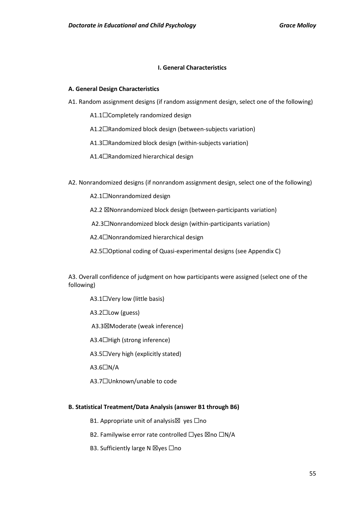### **I. General Characteristics**

### **A. General Design Characteristics**

- A1. Random assignment designs (if random assignment design, select one of the following)
	- A1.1□Completely randomized design
	- A1.2☐Randomized block design (between-subjects variation)
	- A1.3☐Randomized block design (within-subjects variation)
	- A1.4☐Randomized hierarchical design
- A2. Nonrandomized designs (if nonrandom assignment design, select one of the following)
	- A2.1☐Nonrandomized design
	- A2.2 **X**Nonrandomized block design (between-participants variation)
	- A2.3☐Nonrandomized block design (within-participants variation)
	- A2.4☐Nonrandomized hierarchical design
	- A2.5☐Optional coding of Quasi-experimental designs (see Appendix C)

A3. Overall confidence of judgment on how participants were assigned (select one of the following)

- A3.1□Very low (little basis)
- A3.2☐Low (guess)
- A3.3☒Moderate (weak inference)
- A3.4☐High (strong inference)
- A3.5☐Very high (explicitly stated)
- A3.6☐N/A
- A3.7☐Unknown/unable to code

### **B. Statistical Treatment/Data Analysis (answer B1 through B6)**

- B1. Appropriate unit of analysis⊠ yes □no
- B2. Familywise error rate controlled □yes ⊠no □N/A
- B3. Sufficiently large N ⊠yes □no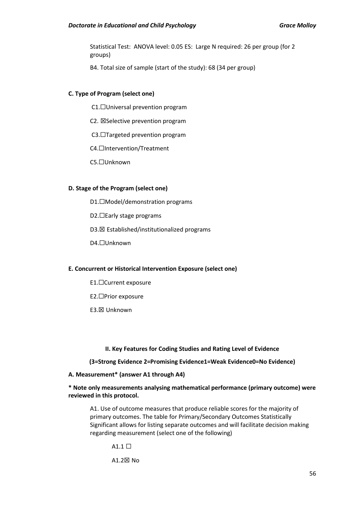Statistical Test: ANOVA level: 0.05 ES: Large N required: 26 per group (for 2 groups)

B4. Total size of sample (start of the study): 68 (34 per group)

### **C. Type of Program (select one)**

- C1.☐Universal prevention program
- C2. ☒Selective prevention program
- C3.☐Targeted prevention program

C4.☐Intervention/Treatment

C5.☐Unknown

#### **D. Stage of the Program (select one)**

- D1.☐Model/demonstration programs
- D2.□Early stage programs
- D3.☒ Established/institutionalized programs

D4.☐Unknown

#### **E. Concurrent or Historical Intervention Exposure (select one)**

- E1.☐Current exposure
- E2.☐Prior exposure
- E3.☒ Unknown

#### **II. Key Features for Coding Studies and Rating Level of Evidence**

**(3=Strong Evidence 2=Promising Evidence1=Weak Evidence0=No Evidence)**

### **A. Measurement\* (answer A1 through A4)**

## **\* Note only measurements analysing mathematical performance (primary outcome) were reviewed in this protocol.**

A1. Use of outcome measures that produce reliable scores for the majority of primary outcomes. The table for Primary/Secondary Outcomes Statistically Significant allows for listing separate outcomes and will facilitate decision making regarding measurement (select one of the following)

- $A1.1 \square$
- A1.2☒ No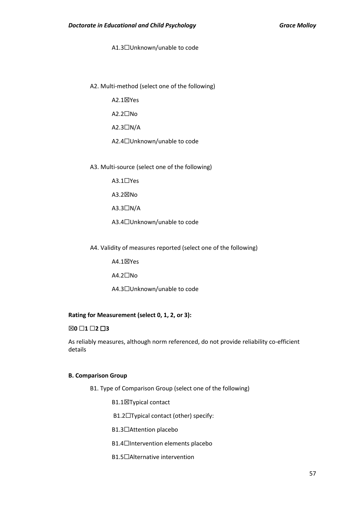#### A1.3☐Unknown/unable to code

A2. Multi-method (select one of the following)

A2.1☒Yes

A2.2☐No

A2.3☐N/A

A2.4☐Unknown/unable to code

A3. Multi-source (select one of the following)

A3.1☐Yes

A3.2☒No

A3.3☐N/A

A3.4☐Unknown/unable to code

A4. Validity of measures reported (select one of the following)

A4.1☒Yes

A4.2☐No

A4.3☐Unknown/unable to code

### **Rating for Measurement (select 0, 1, 2, or 3):**

☒**0** ☐**1** ☐**2** ☐**3** 

As reliably measures, although norm referenced, do not provide reliability co-efficient details

#### **B. Comparison Group**

B1. Type of Comparison Group (select one of the following)

**B1.1⊠Typical contact** 

B1.2☐Typical contact (other) specify:

B1.3☐Attention placebo

B1.4☐Intervention elements placebo

B1.5☐Alternative intervention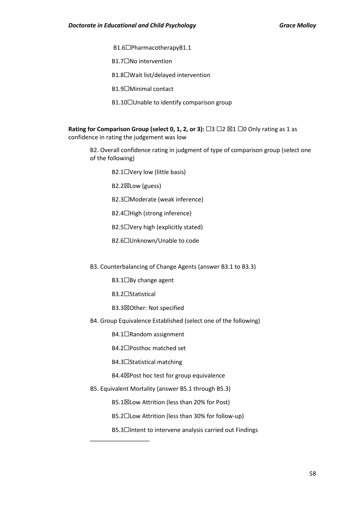- B1.6☐PharmacotherapyB1.1
- B1.7☐No intervention
- B1.8☐Wait list/delayed intervention
- B1.9☐Minimal contact
- B1.10□Unable to identify comparison group

**Rating for Comparison Group (select 0, 1, 2, or 3):** □3 □2 ⊠1 □0 Only rating as 1 as confidence in rating the judgement was low

B2. Overall confidence rating in judgment of type of comparison group (select one of the following)

- B2.1□Very low (little basis)
- B2.2☒Low (guess)
- B2.3☐Moderate (weak inference)
- B2.4☐High (strong inference)
- B2.5☐Very high (explicitly stated)
- B2.6☐Unknown/Unable to code
- B3. Counterbalancing of Change Agents (answer B3.1 to B3.3)
	- B3.1□By change agent
	- B3.2☐Statistical

\_\_\_\_\_\_\_\_\_\_\_\_\_\_\_\_\_\_

- B3.3☒Other: Not specified
- B4. Group Equivalence Established (select one of the following)
	- B4.1□Random assignment
	- B4.2☐Posthoc matched set
	- B4.3☐Statistical matching
	- B4.4☒Post hoc test for group equivalence
- B5. Equivalent Mortality (answer B5.1 through B5.3)
	- B5.1☒Low Attrition (less than 20% for Post)
	- B5.2☐Low Attrition (less than 30% for follow-up)
	- B5.3□Intent to intervene analysis carried out Findings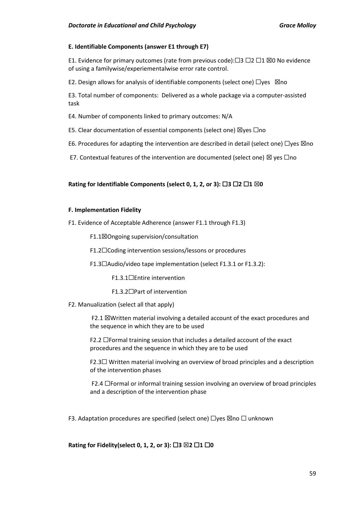### **E. Identifiable Components (answer E1 through E7)**

E1. Evidence for primary outcomes (rate from previous code): $□3 □2 □1 □0$  No evidence of using a familywise/experiementalwise error rate control.

E2. Design allows for analysis of identifiable components (select one)  $\Box$ yes  $\boxtimes$ no

E3. Total number of components: Delivered as a whole package via a computer-assisted task

E4. Number of components linked to primary outcomes: N/A

E5. Clear documentation of essential components (select one)  $\boxtimes$ yes  $\Box$ no

E6. Procedures for adapting the intervention are described in detail (select one)  $\Box$ yes  $\boxtimes$ no

E7. Contextual features of the intervention are documented (select one)  $\boxtimes$  yes  $\Box$ no

### **Rating for Identifiable Components (select 0, 1, 2, or 3):** ☐**3** ☐**2** ☐**1** ☒**0**

#### **F. Implementation Fidelity**

F1. Evidence of Acceptable Adherence (answer F1.1 through F1.3)

F1.1☒Ongoing supervision/consultation

F1.2☐Coding intervention sessions/lessons or procedures

F1.3☐Audio/video tape implementation (select F1.3.1 or F1.3.2):

F1.3.1☐Entire intervention

F1.3.2☐Part of intervention

F2. Manualization (select all that apply)

F2.1  $\boxtimes$ Written material involving a detailed account of the exact procedures and the sequence in which they are to be used

F2.2 ☐Formal training session that includes a detailed account of the exact procedures and the sequence in which they are to be used

F2.3☐ Written material involving an overview of broad principles and a description of the intervention phases

F2.4 ☐Formal or informal training session involving an overview of broad principles and a description of the intervention phase

F3. Adaptation procedures are specified (select one)  $\Box$ yes  $\boxtimes$ no  $\Box$  unknown

**Rating for Fidelity(select 0, 1, 2, or 3):** ☐**3** ☒**2** ☐**1** ☐**0**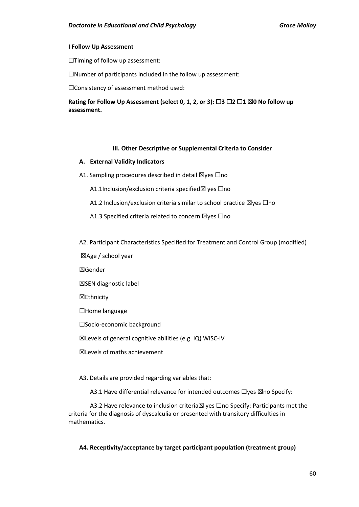#### **I Follow Up Assessment**

☐Timing of follow up assessment:

☐Number of participants included in the follow up assessment:

☐Consistency of assessment method used:

**Rating for Follow Up Assessment (select 0, 1, 2, or 3):** ☐**3** ☐**2** ☐**1** ☒**0 No follow up assessment.** 

#### **III. Other Descriptive or Supplemental Criteria to Consider**

#### **A. External Validity Indicators**

A1. Sampling procedures described in detail  $\boxtimes$ yes  $\Box$ no

A1.1Inclusion/exclusion criteria specified⊠ ves □no

A1.2 Inclusion/exclusion criteria similar to school practice  $\boxtimes$ yes  $\Box$ no

A1.3 Specified criteria related to concern ⊠yes □no

A2. Participant Characteristics Specified for Treatment and Control Group (modified)

☒Age / school year

☒Gender

☒SEN diagnostic label

☒Ethnicity

☐Home language

☐Socio-economic background

☒Levels of general cognitive abilities (e.g. IQ) WISC-IV

☒Levels of maths achievement

A3. Details are provided regarding variables that:

A3.1 Have differential relevance for intended outcomes □yes ⊠no Specify:

A3.2 Have relevance to inclusion criteria⊠ yes □no Specify: Participants met the criteria for the diagnosis of dyscalculia or presented with transitory difficulties in mathematics.

### **A4. Receptivity/acceptance by target participant population (treatment group)**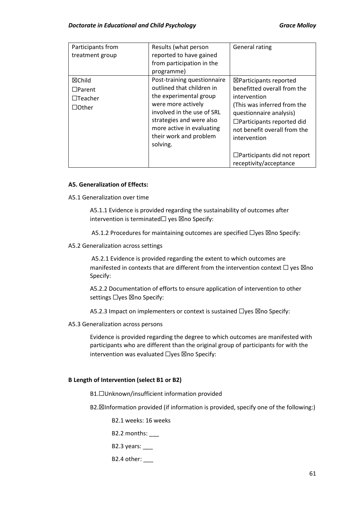### **Doctorate in Educational and Child Psychology Crace Contract Contract Crace Molloy Crace Molloy**

| Participants from<br>treatment group                      | Results (what person<br>reported to have gained<br>from participation in the<br>programme)                                                                                                                                            | <b>General rating</b>                                                                                                                                                                                                                                                                          |
|-----------------------------------------------------------|---------------------------------------------------------------------------------------------------------------------------------------------------------------------------------------------------------------------------------------|------------------------------------------------------------------------------------------------------------------------------------------------------------------------------------------------------------------------------------------------------------------------------------------------|
| ⊠Child<br>$\Box$ Parent<br>$\Box$ Teacher<br>$\Box$ Other | Post-training questionnaire<br>outlined that children in<br>the experimental group<br>were more actively<br>involved in the use of SRL<br>strategies and were also<br>more active in evaluating<br>their work and problem<br>solving. | $\boxtimes$ Participants reported<br>benefitted overall from the<br>intervention<br>(This was inferred from the<br>questionnaire analysis)<br>$\Box$ Participants reported did<br>not benefit overall from the<br>intervention<br>$\Box$ Participants did not report<br>receptivity/acceptance |

### **A5. Generalization of Effects:**

A5.1 Generalization over time

A5.1.1 Evidence is provided regarding the sustainability of outcomes after intervention is terminated $\Box$  yes  $\boxtimes$ no Specify:

A5.1.2 Procedures for maintaining outcomes are specified □yes ⊠no Specify:

A5.2 Generalization across settings

A5.2.1 Evidence is provided regarding the extent to which outcomes are manifested in contexts that are different from the intervention context  $\Box$  yes  $\boxtimes$ no Specify:

A5.2.2 Documentation of efforts to ensure application of intervention to other settings □yes ⊠no Specify:

A5.2.3 Impact on implementers or context is sustained □yes ⊠no Specify:

A5.3 Generalization across persons

Evidence is provided regarding the degree to which outcomes are manifested with participants who are different than the original group of participants for with the intervention was evaluated  $\Box$ yes  $\boxtimes$ no Specify:

# **B Length of Intervention (select B1 or B2)**

B1.☐Unknown/insufficient information provided

B2.☒Information provided (if information is provided, specify one of the following:)

B2.1 weeks: 16 weeks

B2.2 months: \_\_\_

B2.3 years:

### B2.4 other: \_\_\_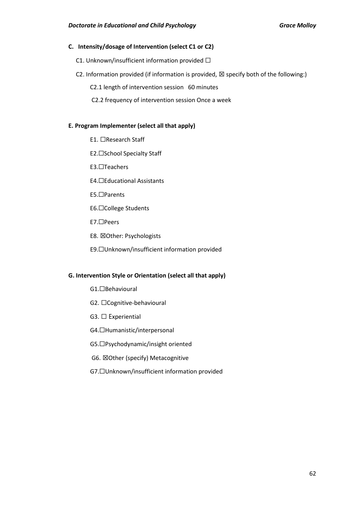### **C. Intensity/dosage of Intervention (select C1 or C2)**

C1. Unknown/insufficient information provided  $\Box$ 

- C2. Information provided (if information is provided,  $\boxtimes$  specify both of the following:)
	- C2.1 length of intervention session 60 minutes
	- C2.2 frequency of intervention session Once a week

### **E. Program Implementer (select all that apply)**

- E1. ☐Research Staff
- E2.☐School Specialty Staff
- E3.☐Teachers
- E4.☐Educational Assistants
- E5.☐Parents
- E6.☐College Students
- E7.☐Peers
- E8. ☒Other: Psychologists
- E9.☐Unknown/insufficient information provided

### **G. Intervention Style or Orientation (select all that apply)**

- G1.☐Behavioural
- G2. □Cognitive-behavioural
- G3. □ Experiential
- G4.☐Humanistic/interpersonal
- G5.☐Psychodynamic/insight oriented
- G6. ☒Other (specify) Metacognitive
- G7.☐Unknown/insufficient information provided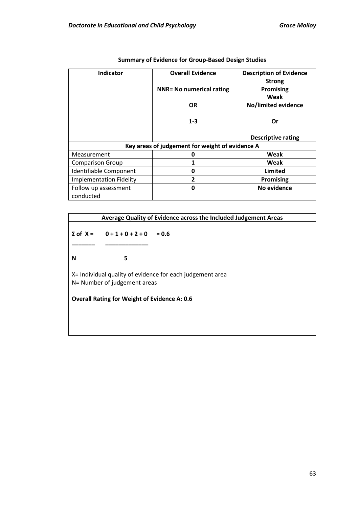| <b>Indicator</b>               | <b>Overall Evidence</b>                         | <b>Description of Evidence</b> |
|--------------------------------|-------------------------------------------------|--------------------------------|
|                                |                                                 | <b>Strong</b>                  |
|                                | <b>NNR= No numerical rating</b>                 | Promising                      |
|                                |                                                 | Weak                           |
|                                | <b>OR</b>                                       | No/limited evidence            |
|                                |                                                 |                                |
|                                | $1 - 3$                                         | Or                             |
|                                |                                                 |                                |
|                                |                                                 | <b>Descriptive rating</b>      |
|                                | Key areas of judgement for weight of evidence A |                                |
| Measurement                    | 0                                               | Weak                           |
| <b>Comparison Group</b>        | 1                                               | Weak                           |
| Identifiable Component         | 0                                               | Limited                        |
| <b>Implementation Fidelity</b> | 2                                               | <b>Promising</b>               |
| Follow up assessment           | 0                                               | No evidence                    |
| conducted                      |                                                 |                                |

# **Summary of Evidence for Group-Based Design Studies**

|                                                                                           |                                       | Average Quality of Evidence across the Included Judgement Areas |
|-------------------------------------------------------------------------------------------|---------------------------------------|-----------------------------------------------------------------|
|                                                                                           | $\sum$ of X = 0 + 1 + 0 + 2 + 0 = 0.6 |                                                                 |
| N                                                                                         | 5                                     |                                                                 |
| X= Individual quality of evidence for each judgement area<br>N= Number of judgement areas |                                       |                                                                 |
| <b>Overall Rating for Weight of Evidence A: 0.6</b>                                       |                                       |                                                                 |
|                                                                                           |                                       |                                                                 |
|                                                                                           |                                       |                                                                 |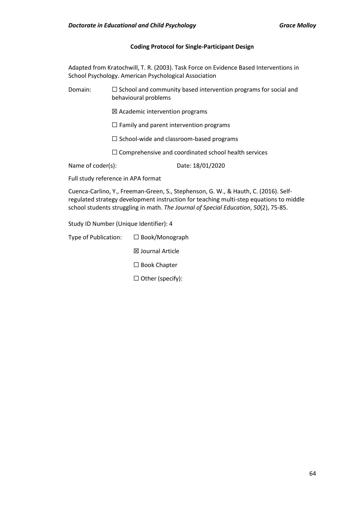### **Coding Protocol for Single-Participant Design**

Adapted from Kratochwill, T. R. (2003). Task Force on Evidence Based Interventions in School Psychology. American Psychological Association

Domain:  $\Box$  School and community based intervention programs for social and behavioural problems

☒ Academic intervention programs

 $\Box$  Family and parent intervention programs

☐ School-wide and classroom-based programs

☐ Comprehensive and coordinated school health services

Name of coder(s): Date: 18/01/2020

Full study reference in APA format

Cuenca-Carlino, Y., Freeman-Green, S., Stephenson, G. W., & Hauth, C. (2016). Selfregulated strategy development instruction for teaching multi-step equations to middle school students struggling in math. *The Journal of Special Education*, *50*(2), 75-85.

Study ID Number (Unique Identifier): 4

Type of Publication: ☐ Book/Monograph

☒ Journal Article

☐ Book Chapter

☐ Other (specify):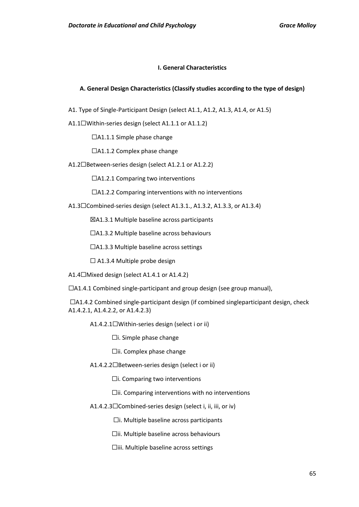#### **I. General Characteristics**

#### **A. General Design Characteristics (Classify studies according to the type of design)**

- A1. Type of Single-Participant Design (select A1.1, A1.2, A1.3, A1.4, or A1.5)
- A1.1☐Within-series design (select A1.1.1 or A1.1.2)

☐A1.1.1 Simple phase change

☐A1.1.2 Complex phase change

A1.2☐Between-series design (select A1.2.1 or A1.2.2)

☐A1.2.1 Comparing two interventions

☐A1.2.2 Comparing interventions with no interventions

A1.3☐Combined-series design (select A1.3.1., A1.3.2, A1.3.3, or A1.3.4)

☒A1.3.1 Multiple baseline across participants

☐A1.3.2 Multiple baseline across behaviours

☐A1.3.3 Multiple baseline across settings

 $\Box$  A1.3.4 Multiple probe design

A1.4☐Mixed design (select A1.4.1 or A1.4.2)

 $\Box$ A1.4.1 Combined single-participant and group design (see group manual),

 $\Box$ A1.4.2 Combined single-participant design (if combined singleparticipant design, check A1.4.2.1, A1.4.2.2, or A1.4.2.3)

A1.4.2.1☐Within-series design (select i or ii)

 $\Box$ i. Simple phase change

☐ii. Complex phase change

A1.4.2.2☐Between-series design (select i or ii)

☐i. Comparing two interventions

☐ii. Comparing interventions with no interventions

A1.4.2.3☐Combined-series design (select i, ii, iii, or iv)

☐i. Multiple baseline across participants

☐ii. Multiple baseline across behaviours

☐iii. Multiple baseline across settings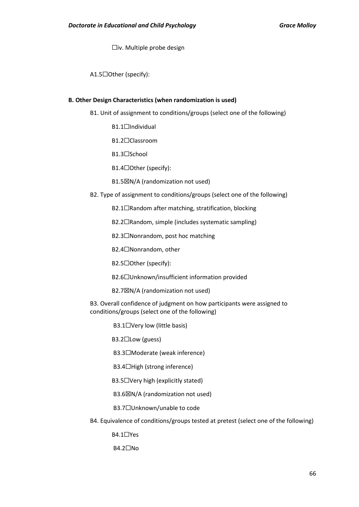☐iv. Multiple probe design

A1.5☐Other (specify):

#### **B. Other Design Characteristics (when randomization is used)**

B1. Unit of assignment to conditions/groups (select one of the following)

- B1.1□Individual
- B1.2☐Classroom
- B1.3☐School

B1.4☐Other (specify):

- B1.5☒N/A (randomization not used)
- B2. Type of assignment to conditions/groups (select one of the following)
	- B2.1□Random after matching, stratification, blocking
	- B2.2☐Random, simple (includes systematic sampling)
	- B2.3☐Nonrandom, post hoc matching
	- B2.4☐Nonrandom, other
	- B2.5☐Other (specify):
	- B2.6☐Unknown/insufficient information provided
	- B2.7☒N/A (randomization not used)

B3. Overall confidence of judgment on how participants were assigned to conditions/groups (select one of the following)

B3.1□Very low (little basis)

B3.2☐Low (guess)

B3.3☐Moderate (weak inference)

B3.4☐High (strong inference)

B3.5☐Very high (explicitly stated)

**B3.6⊠N/A (randomization not used)** 

B3.7☐Unknown/unable to code

B4. Equivalence of conditions/groups tested at pretest (select one of the following)

B4.1☐Yes

B4.2☐No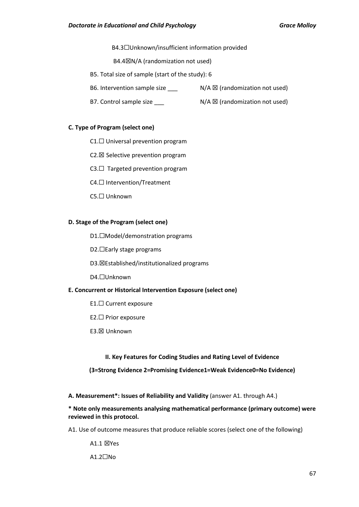B4.3☐Unknown/insufficient information provided

B4.4☒N/A (randomization not used)

- B5. Total size of sample (start of the study): 6
- B6. Intervention sample size  $\sum$  N/A  $\boxtimes$  (randomization not used)
- B7. Control sample size  $N/A \boxtimes (randomization not used)$

#### **C. Type of Program (select one)**

- C1.☐ Universal prevention program
- C2.☒ Selective prevention program
- $C3. \Box$  Targeted prevention program
- C4.☐ Intervention/Treatment
- C5.☐ Unknown

#### **D. Stage of the Program (select one)**

- D1.□Model/demonstration programs
- D2.□Early stage programs
- D3.☒Established/institutionalized programs
- D4.☐Unknown

#### **E. Concurrent or Historical Intervention Exposure (select one)**

- E1.☐ Current exposure
- E2.☐ Prior exposure
- E3.☒ Unknown

### **II. Key Features for Coding Studies and Rating Level of Evidence**

**(3=Strong Evidence 2=Promising Evidence1=Weak Evidence0=No Evidence)**

**A. Measurement\*: Issues of Reliability and Validity** (answer A1. through A4.)

## **\* Note only measurements analysing mathematical performance (primary outcome) were reviewed in this protocol.**

A1. Use of outcome measures that produce reliable scores (select one of the following)

#### A1.1 ⊠Yes

A1.2☐No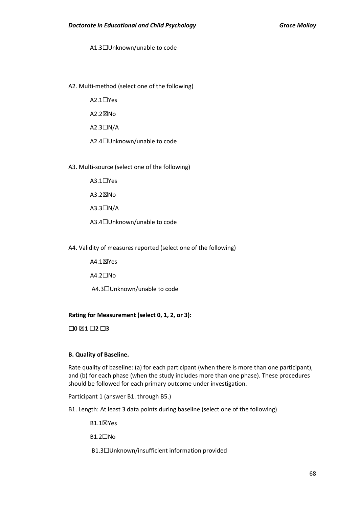A1.3☐Unknown/unable to code

A2. Multi-method (select one of the following)

A2.1☐Yes

A2.2☒No

A2.3☐N/A

A2.4☐Unknown/unable to code

A3. Multi-source (select one of the following)

A3.1☐Yes

A3.2☒No

 $A3.3$  $\neg N/A$ 

A3.4☐Unknown/unable to code

A4. Validity of measures reported (select one of the following)

A4.1☒Yes

A4.2☐No

A4.3☐Unknown/unable to code

### **Rating for Measurement (select 0, 1, 2, or 3):**

☐**0** ☒**1** ☐**2** ☐**3**

### **B. Quality of Baseline.**

Rate quality of baseline: (a) for each participant (when there is more than one participant), and (b) for each phase (when the study includes more than one phase). These procedures should be followed for each primary outcome under investigation.

Participant 1 (answer B1. through B5.)

B1. Length: At least 3 data points during baseline (select one of the following)

B1.1☒Yes

B1.2☐No

B1.3☐Unknown/insufficient information provided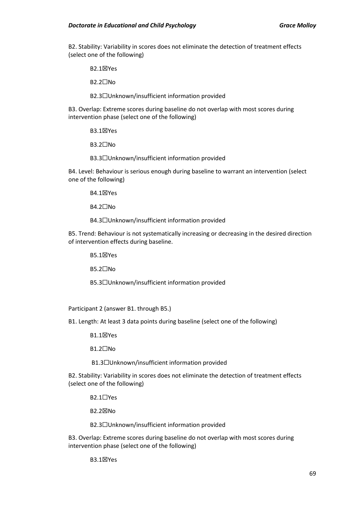B2. Stability: Variability in scores does not eliminate the detection of treatment effects (select one of the following)

B2.1☒Yes

B2.2☐No

B2.3☐Unknown/insufficient information provided

B3. Overlap: Extreme scores during baseline do not overlap with most scores during intervention phase (select one of the following)

B3.1☒Yes

B3.2☐No

B3.3☐Unknown/insufficient information provided

B4. Level: Behaviour is serious enough during baseline to warrant an intervention (select one of the following)

B4.1☒Yes

B4.2☐No

B4.3☐Unknown/insufficient information provided

B5. Trend: Behaviour is not systematically increasing or decreasing in the desired direction of intervention effects during baseline.

B5.1☒Yes

B5.2☐No

B5.3☐Unknown/insufficient information provided

Participant 2 (answer B1. through B5.)

B1. Length: At least 3 data points during baseline (select one of the following)

B1.1☒Yes

B1.2☐No

B1.3☐Unknown/insufficient information provided

B2. Stability: Variability in scores does not eliminate the detection of treatment effects (select one of the following)

B2.1☐Yes

B2.2☒No

B2.3☐Unknown/insufficient information provided

B3. Overlap: Extreme scores during baseline do not overlap with most scores during intervention phase (select one of the following)

B3.1☒Yes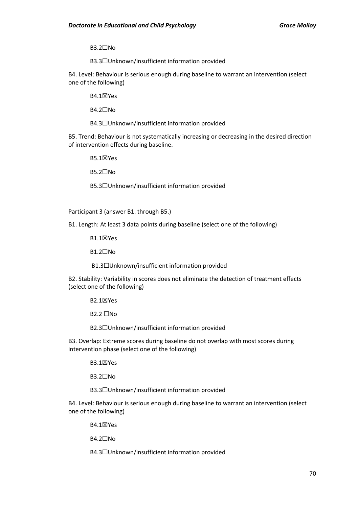B3.2☐No

B3.3☐Unknown/insufficient information provided

B4. Level: Behaviour is serious enough during baseline to warrant an intervention (select one of the following)

B4.1☒Yes

B4.2☐No

B4.3☐Unknown/insufficient information provided

B5. Trend: Behaviour is not systematically increasing or decreasing in the desired direction of intervention effects during baseline.

B5.1☒Yes

B5.2☐No

B5.3☐Unknown/insufficient information provided

Participant 3 (answer B1. through B5.)

B1. Length: At least 3 data points during baseline (select one of the following)

B1.1☒Yes

B1.2☐No

B1.3☐Unknown/insufficient information provided

B2. Stability: Variability in scores does not eliminate the detection of treatment effects (select one of the following)

B2.1☒Yes

**B2.2** □No

B2.3☐Unknown/insufficient information provided

B3. Overlap: Extreme scores during baseline do not overlap with most scores during intervention phase (select one of the following)

B3.1☒Yes

B3.2☐No

B3.3☐Unknown/insufficient information provided

B4. Level: Behaviour is serious enough during baseline to warrant an intervention (select one of the following)

B4.1☒Yes

B4.2☐No

B4.3☐Unknown/insufficient information provided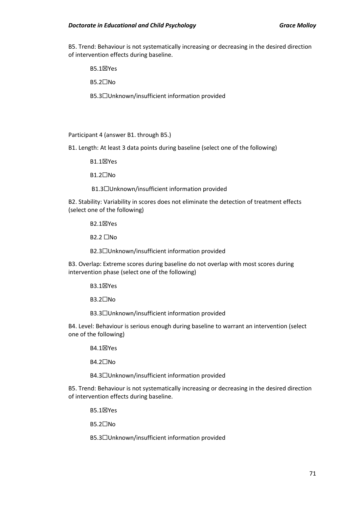B5. Trend: Behaviour is not systematically increasing or decreasing in the desired direction of intervention effects during baseline.

B5.1☒Yes

B5.2☐No

B5.3☐Unknown/insufficient information provided

Participant 4 (answer B1. through B5.)

B1. Length: At least 3 data points during baseline (select one of the following)

B1.1☒Yes

B1.2☐No

B1.3☐Unknown/insufficient information provided

B2. Stability: Variability in scores does not eliminate the detection of treatment effects (select one of the following)

B2.1☒Yes

**B2.2** □No

B2.3☐Unknown/insufficient information provided

B3. Overlap: Extreme scores during baseline do not overlap with most scores during intervention phase (select one of the following)

B3.1☒Yes

B3.2☐No

B3.3☐Unknown/insufficient information provided

B4. Level: Behaviour is serious enough during baseline to warrant an intervention (select one of the following)

B4.1☒Yes

B4.2☐No

B4.3☐Unknown/insufficient information provided

B5. Trend: Behaviour is not systematically increasing or decreasing in the desired direction of intervention effects during baseline.

B5.1☒Yes

B5.2☐No

B5.3☐Unknown/insufficient information provided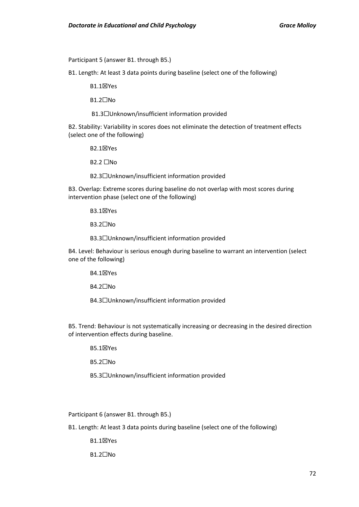Participant 5 (answer B1. through B5.)

B1. Length: At least 3 data points during baseline (select one of the following)

B1.1☒Yes

B1.2☐No

B1.3☐Unknown/insufficient information provided

B2. Stability: Variability in scores does not eliminate the detection of treatment effects (select one of the following)

B2.1☒Yes

 $B2.2 \square$ No

B2.3☐Unknown/insufficient information provided

B3. Overlap: Extreme scores during baseline do not overlap with most scores during intervention phase (select one of the following)

B3.1☒Yes

B3.2☐No

B3.3☐Unknown/insufficient information provided

B4. Level: Behaviour is serious enough during baseline to warrant an intervention (select one of the following)

B4.1☒Yes

B4.2☐No

B4.3☐Unknown/insufficient information provided

B5. Trend: Behaviour is not systematically increasing or decreasing in the desired direction of intervention effects during baseline.

B5.1☒Yes

B5.2☐No

B5.3☐Unknown/insufficient information provided

Participant 6 (answer B1. through B5.)

B1. Length: At least 3 data points during baseline (select one of the following)

B1.1☒Yes

B1.2☐No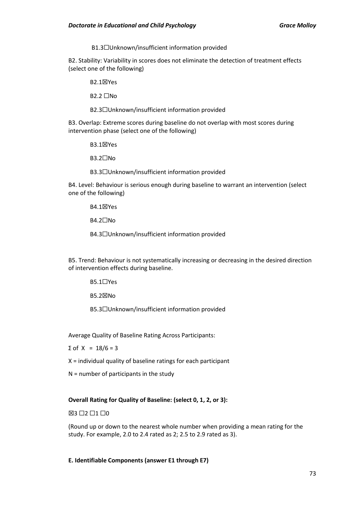B1.3☐Unknown/insufficient information provided

B2. Stability: Variability in scores does not eliminate the detection of treatment effects (select one of the following)

B2.1☒Yes

**B2.2** □No

B2.3☐Unknown/insufficient information provided

B3. Overlap: Extreme scores during baseline do not overlap with most scores during intervention phase (select one of the following)

B3.1☒Yes

B3.2☐No

B3.3☐Unknown/insufficient information provided

B4. Level: Behaviour is serious enough during baseline to warrant an intervention (select one of the following)

B4.1☒Yes

B4.2☐No

B4.3☐Unknown/insufficient information provided

B5. Trend: Behaviour is not systematically increasing or decreasing in the desired direction of intervention effects during baseline.

B5.1☐Yes

B5.2☒No

B5.3☐Unknown/insufficient information provided

Average Quality of Baseline Rating Across Participants:

Σ of X = 18/6 = 3

X = individual quality of baseline ratings for each participant

N = number of participants in the study

# **Overall Rating for Quality of Baseline: (select 0, 1, 2, or 3):**

⊠3 □2 □1 □0

(Round up or down to the nearest whole number when providing a mean rating for the study. For example, 2.0 to 2.4 rated as 2; 2.5 to 2.9 rated as 3).

**E. Identifiable Components (answer E1 through E7)**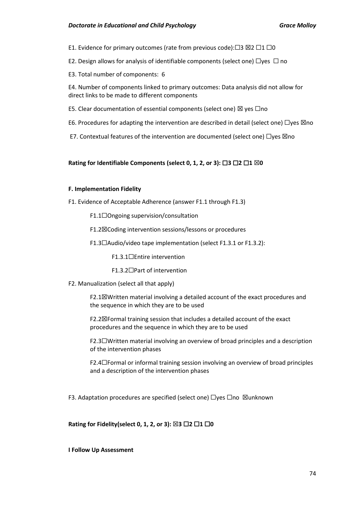E1. Evidence for primary outcomes (rate from previous code): $\Box$ 3  $\boxtimes$ 2  $\Box$ 1  $\Box$ 0

E2. Design allows for analysis of identifiable components (select one)  $\Box$ yes  $\Box$  no

E3. Total number of components: 6

E4. Number of components linked to primary outcomes: Data analysis did not allow for direct links to be made to different components

- E5. Clear documentation of essential components (select one)  $\boxtimes$  yes  $\Box$ no
- E6. Procedures for adapting the intervention are described in detail (select one)  $\Box$ yes  $\boxtimes$ no
- E7. Contextual features of the intervention are documented (select one)  $\Box$ yes  $\boxtimes$ no

# **Rating for Identifiable Components (select 0, 1, 2, or 3):** ☐**3** ☐**2** ☐**1** ☒**0**

# **F. Implementation Fidelity**

- F1. Evidence of Acceptable Adherence (answer F1.1 through F1.3)
	- F1.1☐Ongoing supervision/consultation
	- F1.2☒Coding intervention sessions/lessons or procedures
	- F1.3☐Audio/video tape implementation (select F1.3.1 or F1.3.2):
		- F1.3.1☐Entire intervention
		- F1.3.2☐Part of intervention
- F2. Manualization (select all that apply)

F2.1☒Written material involving a detailed account of the exact procedures and the sequence in which they are to be used

F2.2☒Formal training session that includes a detailed account of the exact procedures and the sequence in which they are to be used

F2.3☐Written material involving an overview of broad principles and a description of the intervention phases

F2.4☐Formal or informal training session involving an overview of broad principles and a description of the intervention phases

F3. Adaptation procedures are specified (select one) □yes □no ⊠unknown

**Rating for Fidelity(select 0, 1, 2, or 3):** ☒**3** ☐**2** ☐**1** ☐**0**

# **I Follow Up Assessment**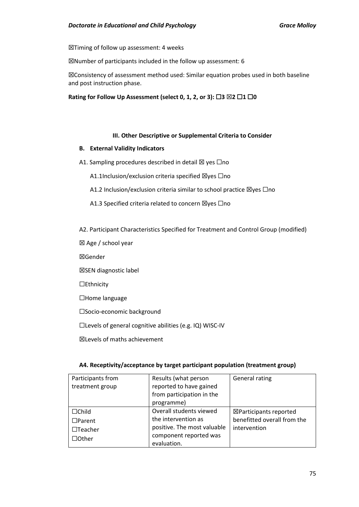☒Timing of follow up assessment: 4 weeks

☒Number of participants included in the follow up assessment: 6

☒Consistency of assessment method used: Similar equation probes used in both baseline and post instruction phase.

### **Rating for Follow Up Assessment (select 0, 1, 2, or 3): □3 ⊠2 □1 □0**

# **III. Other Descriptive or Supplemental Criteria to Consider**

#### **B. External Validity Indicators**

- A1. Sampling procedures described in detail  $\boxtimes$  yes  $\Box$ no
	- A1.1Inclusion/exclusion criteria specified ⊠yes □no
	- A1.2 Inclusion/exclusion criteria similar to school practice ⊠yes □no
	- A1.3 Specified criteria related to concern ⊠yes □no
- A2. Participant Characteristics Specified for Treatment and Control Group (modified)
- ☒ Age / school year
- ☒Gender
- ☒SEN diagnostic label
- ☐Ethnicity
- ☐Home language
- ☐Socio-economic background
- ☐Levels of general cognitive abilities (e.g. IQ) WISC-IV

☒Levels of maths achievement

# **A4. Receptivity/acceptance by target participant population (treatment group)**

| Participants from | Results (what person        | <b>General rating</b>             |
|-------------------|-----------------------------|-----------------------------------|
| treatment group   | reported to have gained     |                                   |
|                   | from participation in the   |                                   |
|                   | programme)                  |                                   |
| $\Box$ Child      | Overall students viewed     | $\boxtimes$ Participants reported |
| $\Box$ Parent     | the intervention as         | benefitted overall from the       |
| $\Box$ Teacher    | positive. The most valuable | intervention                      |
| $\Box$ Other      | component reported was      |                                   |
|                   | evaluation.                 |                                   |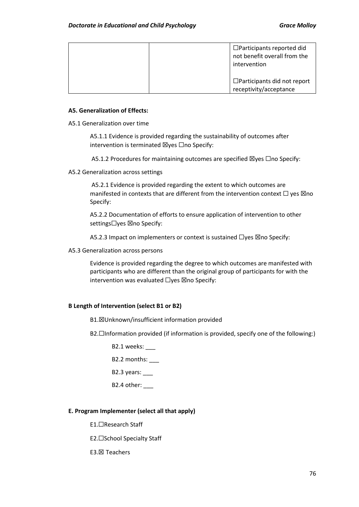| $\Box$ Participants reported did<br>not benefit overall from the<br>intervention |
|----------------------------------------------------------------------------------|
| $\Box$ Participants did not report<br>receptivity/acceptance                     |

# **A5. Generalization of Effects:**

A5.1 Generalization over time

A5.1.1 Evidence is provided regarding the sustainability of outcomes after intervention is terminated  $\boxtimes$ yes  $\Box$ no Specify:

A5.1.2 Procedures for maintaining outcomes are specified  $\boxtimes$ yes  $\Box$ no Specify:

#### A5.2 Generalization across settings

A5.2.1 Evidence is provided regarding the extent to which outcomes are manifested in contexts that are different from the intervention context  $\Box$  yes  $\boxtimes$ no Specify:

A5.2.2 Documentation of efforts to ensure application of intervention to other settings□yes ⊠no Specify:

A5.2.3 Impact on implementers or context is sustained □yes ⊠no Specify:

A5.3 Generalization across persons

Evidence is provided regarding the degree to which outcomes are manifested with participants who are different than the original group of participants for with the intervention was evaluated □yes ⊠no Specify:

# **B Length of Intervention (select B1 or B2)**

B1.☒Unknown/insufficient information provided

B2.□Information provided (if information is provided, specify one of the following:)

B2.1 weeks:

B2.2 months:

B2.3 years:

B2.4 other:

# **E. Program Implementer (select all that apply)**

E1.☐Research Staff

E2.☐School Specialty Staff

E3.☒ Teachers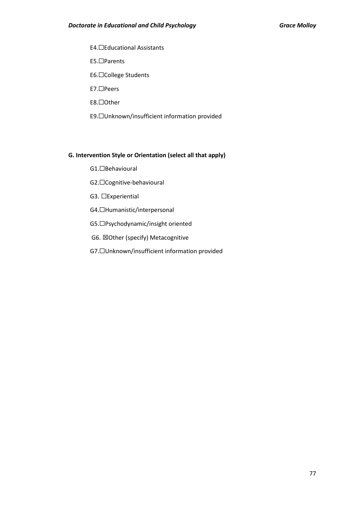E4.☐Educational Assistants E5.☐Parents E6.☐College Students E7.☐Peers E8.☐Other

E9.☐Unknown/insufficient information provided

# **G. Intervention Style or Orientation (select all that apply)**

- G1.☐Behavioural
- G2.☐Cognitive-behavioural
- G3. □Experiential
- G4.☐Humanistic/interpersonal
- G5.☐Psychodynamic/insight oriented
- G6. ☒Other (specify) Metacognitive
- G7.☐Unknown/insufficient information provided